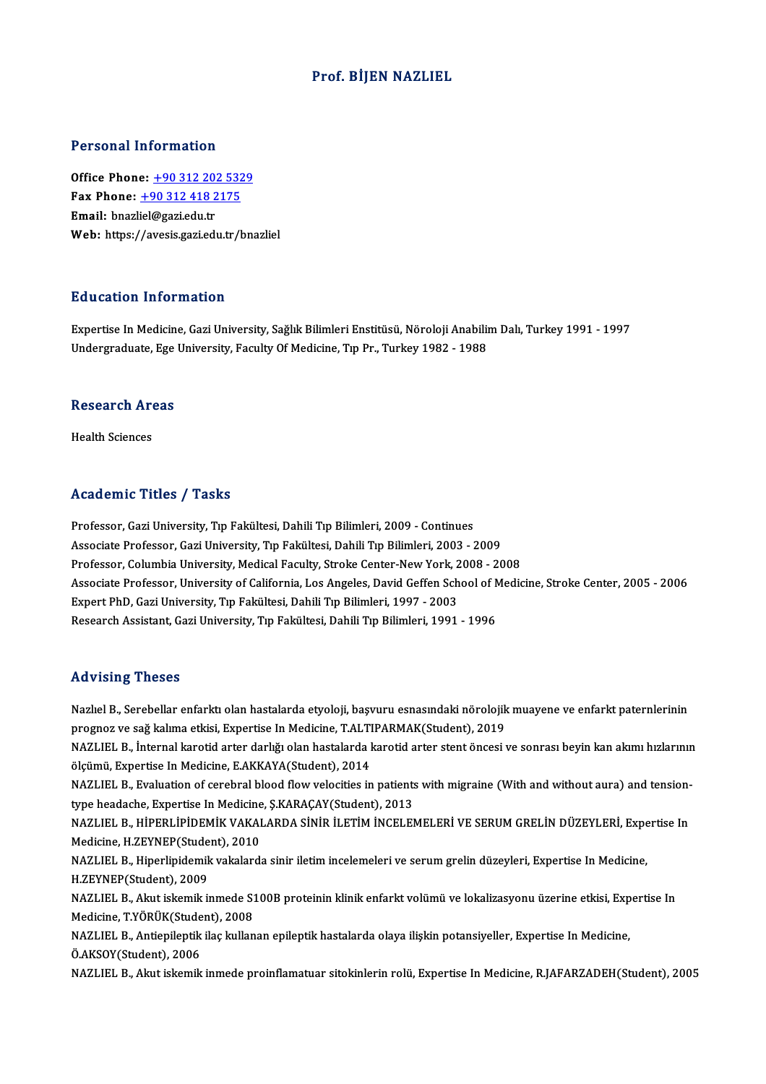#### Prof. BİJEN NAZLIEL

#### Personal Information

Office Phone: +90 312 202 5329 Fax Phone: <u>+90 312 202 532</u><br>Fax Phone: <u>+90 312 418 2175</u><br>Fmail: hnasliel@sasi.edu.tr Office Phone: <u>+90 312 201</u><br>Fax Phone: <u>+90 312 418 2</u><br>Email: bnazl[iel@gazi.edu.tr](tel:+90 312 418 2175) Email: bnazliel@gazi.edu.tr<br>Web: https://avesis.gazi.edu.tr/bnazliel

#### Education Information

E**ducation Information**<br>Expertise In Medicine, Gazi University, Sağlık Bilimleri Enstitüsü, Nöroloji Anabilim Dalı, Turkey 1991 - 1997<br>Undergraduate Ege University Easylty Of Medisine Typ Pr. Turkey 1982, 1988 Luususeen minominusson<br>Expertise In Medicine, Gazi University, Sağlık Bilimleri Enstitüsü, Nöroloji Anabilii<br>Undergraduate, Ege University, Faculty Of Medicine, Tıp Pr., Turkey 1982 - 1988

# ondergraduate, Ege<br>Research Areas R<mark>esearch Ar</mark><br>Health Sciences

# Academic Titles / Tasks

Academic Titles / Tasks<br>Professor, Gazi University, Tıp Fakültesi, Dahili Tıp Bilimleri, 2009 - Continues<br>Associato Professor, Cazi University, Tıp Fakültesi, Dahili Tıp Bilimleri, 2002, 1 -<br>Professor, Gazi University, Tıp Fakültesi, Dahili Tıp Bilimleri, 2009 - Continues<br>Associate Professor, Gazi University, Tıp Fakültesi, Dahili Tıp Bilimleri, 2003 - 2009<br>Professor, Columbia University, Medical Faculty, St Associate Professor, Gazi University, Tip Fakültesi, Dahili Tip Bilimleri, 2003 - 2009<br>Professor, Columbia University, Medical Faculty, Stroke Center-New York, 2008 - 2008 Associate Professor, Gazi University, Tıp Fakültesi, Dahili Tıp Bilimleri, 2003 - 2009<br>Professor, Columbia University, Medical Faculty, Stroke Center-New York, 2008 - 2008<br>Associate Professor, University of California, Los Professor, Columbia University, Medical Faculty, Stroke Center-New York, 2<br>Associate Professor, University of California, Los Angeles, David Geffen Sch<br>Expert PhD, Gazi University, Tıp Fakültesi, Dahili Tıp Bilimleri, 1997 Associate Professor, University of California, Los Angeles, David Geffen School of N<br>Expert PhD, Gazi University, Tıp Fakültesi, Dahili Tıp Bilimleri, 1997 - 2003<br>Research Assistant, Gazi University, Tıp Fakültesi, Dahili Research Assistant, Gazi University, Tıp Fakültesi, Dahili Tıp Bilimleri, 1991 - 1996<br>Advising Theses

Advising Theses<br>Nazlıel B., Serebellar enfarktı olan hastalarda etyoloji, başvuru esnasındaki nörolojik muayene ve enfarkt paternlerinin<br>PRSHRENC 903 kalima etkişi, Expertise In Medisine TALTIPARMAK(Student), 2010 rra v rorr<sub>i</sub>g "rrosocs"<br>Nazlıel B., Serebellar enfarktı olan hastalarda etyoloji, başvuru esnasındaki nörolojik<br>prognoz ve sağ kalıma etkisi, Expertise In Medicine, T.ALTIPARMAK(Student), 2019<br>NAZLIEL B., İnternal kanetid Nazlıel B., Serebellar enfarktı olan hastalarda etyoloji, başvuru esnasındaki nörolojik muayene ve enfarkt paternlerinin<br>prognoz ve sağ kalıma etkisi, Expertise In Medicine, T.ALTIPARMAK(Student), 2019<br>NAZLIEL B., İnternal prognoz ve sağ kalıma etkisi, Expertise In Medicine, T.ALTIPARMAK(Student), 2019<br>NAZLIEL B., İnternal karotid arter darlığı olan hastalarda karotid arter stent öncesi ve sonrası beyin kan akımı hızlarının<br>ölçümü, Expertise NAZLIEL B., İnternal karotid arter darlığı olan hastalarda karotid arter stent öncesi ve sonrası beyin kan akımı hızlarınır<br>ölçümü, Expertise In Medicine, E.AKKAYA(Student), 2014<br>NAZLIEL B., Evaluation of cerebral blood fl ölçümü, Expertise In Medicine, E.AKKAYA(Student), 2014<br>NAZLIEL B., Evaluation of cerebral blood flow velocities in patients<br>type headache, Expertise In Medicine, Ş.KARAÇAY(Student), 2013<br>NAZLIEL B., HİDERLİPİDEMİK VAKALARD NAZLIEL B., Evaluation of cerebral blood flow velocities in patients with migraine (With and without aura) and tension-<br>type headache, Expertise In Medicine, Ş.KARAÇAY(Student), 2013<br>NAZLIEL B., HİPERLİPİDEMİK VAKALARDA Sİ type headache, Expertise In Medicine<br>NAZLIEL B., HİPERLİPİDEMİK VAKAI<br>Medicine, H.ZEYNEP(Student), 2010<br>NAZLIEL B., Hinerlinidemik vekelerd NAZLIEL B., HİPERLİPİDEMİK VAKALARDA SİNİR İLETİM İNCELEMELERİ VE SERUM GRELİN DÜZEYLERİ, Expe<br>Medicine, H.ZEYNEP(Student), 2010<br>NAZLIEL B., Hiperlipidemik vakalarda sinir iletim incelemeleri ve serum grelin düzeyleri, Exp Medicine, H.ZEYNEP(Student), 2010<br>NAZLIEL B., Hiperlipidemik vakalarda sinir iletim incelemeleri ve serum grelin düzeyleri, Expertise In Medicine,<br>H.ZEYNEP(Student), 2009 NAZLIEL B., Hiperlipidemik vakalarda sinir iletim incelemeleri ve serum grelin düzeyleri, Expertise In Medicine,<br>H.ZEYNEP(Student), 2009<br>NAZLIEL B., Akut iskemik inmede S100B proteinin klinik enfarkt volümü ve lokalizasyon H.ZEYNEP(Student), 2009<br>NAZLIEL B., Akut iskemik inmede S1<br>Medicine, T.YÖRÜK(Student), 2008<br>NAZLIEL B., Antionilentik ilas kullan NAZLIEL B., Akut iskemik inmede S100B proteinin klinik enfarkt volümü ve lokalizasyonu üzerine etkisi, Exp<br>Medicine, T.YÖRÜK(Student), 2008<br>NAZLIEL B., Antiepileptik ilaç kullanan epileptik hastalarda olaya ilişkin potansi Medicine, T.YÖRÜK(Stude<br>NAZLIEL B., Antiepileptik<br>Ö.AKSOY(Student), 2006<br>NAZLIEL B., Alput iskamik Ö.AKSOY(Student), 2006<br>NAZLIEL B., Akut iskemik inmede proinflamatuar sitokinlerin rolü, Expertise In Medicine, R.JAFARZADEH(Student), 2005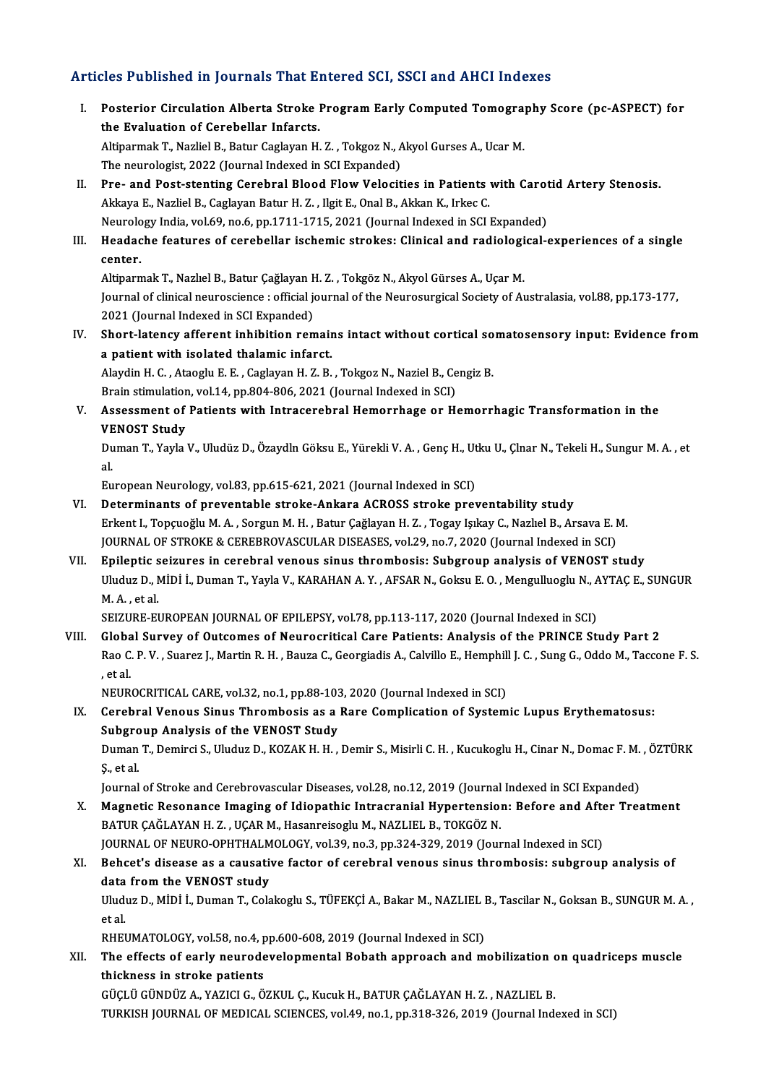## Articles Published in Journals That Entered SCI, SSCI and AHCI Indexes

rticles Published in Journals That Entered SCI, SSCI and AHCI Indexes<br>I. Posterior Circulation Alberta Stroke Program Early Computed Tomography Score (pc-ASPECT) for<br>the Evaluation of Carabellar Informate The Evaluation of Cerebellar Infarcts.<br>The Evaluation of Cerebellar Infarcts.<br>Altinormak T. Naglial P. Patur Caglavan H. Posterior Circulation Alberta Stroke Program Early Computed Tomogra<br>the Evaluation of Cerebellar Infarcts.<br>Altiparmak T., Nazliel B., Batur Caglayan H. Z. , Tokgoz N., Akyol Gurses A., Ucar M.<br>The neuvelagist 2022 (Journal the Evaluation of Cerebellar Infarcts.<br>Altiparmak T., Nazliel B., Batur Caglayan H. Z. , Tokgoz N., A.<br>The neurologist, 2022 (Journal Indexed in SCI Expanded)<br>Pre- and Best stanting Carebral Placed Flow Velogit The neurologist, 2022 (Journal Indexed in SCI Expanded)<br>II. Pre- and Post-stenting Cerebral Blood Flow Velocities in Patients with Carotid Artery Stenosis. Akkaya E., Nazliel B., Caglayan Batur H. Z., Ilgit E., Onal B., Akkan K., Irkec C. Pre- and Post-stenting Cerebral Blood Flow Velocities in Patients with Carot<br>Akkaya E., Nazliel B., Caglayan Batur H. Z. , Ilgit E., Onal B., Akkan K., Irkec C.<br>Neurology India, vol.69, no.6, pp.1711-1715, 2021 (Journal In Akkaya E., Nazliel B., Caglayan Batur H. Z. , Ilgit E., Onal B., Akkan K., Irkec C.<br>Neurology India, vol.69, no.6, pp.1711-1715, 2021 (Journal Indexed in SCI Expanded)<br>III. Headache features of cerebellar ischemic strokes: Neurolo<br>Headac<br>center. Headache features of cerebellar ischemic strokes: Clinical and radiologi<br>center.<br>Altiparmak T., Nazlıel B., Batur Çağlayan H. Z. , Tokgöz N., Akyol Gürses A., Uçar M.<br>Journal of clinical nourosciance : official journal of **center.**<br>Altiparmak T., Nazlıel B., Batur Çağlayan H. Z. , Tokgöz N., Akyol Gürses A., Uçar M.<br>Journal of clinical neuroscience : official journal of the Neurosurgical Society of Australasia, vol.88, pp.173-177, 2021 (Journal Indexed in SCI Expanded) Iournal of clinical neuroscience : official journal of the Neurosurgical Society of Australasia, vol.88, pp.173-177,<br>2021 (Journal Indexed in SCI Expanded)<br>IV. Short-latency afferent inhibition remains intact without corti 2021 (Journal Indexed in SCI Expanded)<br>Short-latency afferent inhibition remain<br>a patient with isolated thalamic infarct.<br>Alaydin H.C., Atasslu E.E., Caslavan H.Z.P. Short-latency afferent inhibition remains intact without cortical so<br>a patient with isolated thalamic infarct.<br>Alaydin H. C. , Ataoglu E. E. , Caglayan H. Z. B. , Tokgoz N., Naziel B., Cengiz B.<br>Prein stimulation vol 14, p a patient with isolated thalamic infarct.<br>Alaydin H. C. , Ataoglu E. E. , Caglayan H. Z. B. , Tokgoz N., Naziel B., Ce<br>Brain stimulation, vol.14, pp.804-806, 2021 (Journal Indexed in SCI)<br>Assessment of Batients with Intres V. Assessment of Patients with Intracerebral Hemorrhage or Hemorrhagic Transformation in the Brain stimulation, vol.14, pp.804-806, 2021 (Journal Indexed in SCI) Duman T., Yayla V., Uludüz D., Özaydln Göksu E., Yürekli V. A. , Genç H., Utku U., Çlnar N., Tekeli H., Sungur M. A. , et<br>al. VE<br>Du<br>al. European Neurology, vol.83, pp.615-621, 2021 (Journal Indexed in SCI) VI. Determinants of preventable stroke-Ankara ACROSS stroke preventability study Erkent I.,TopçuoğluM.A. ,SorgunM.H. ,Batur ÇağlayanH.Z. ,Togay IşıkayC.,NazlıelB.,ArsavaE.M. JOURNAL OF STROKE & CEREBROVASCULAR DISEASES, vol.29, no.7, 2020 (Journal Indexed in SCI) Erkent I., Topçuoğlu M. A. , Sorgun M. H. , Batur Çağlayan H. Z. , Togay Işıkay C., Nazlıel B., Arsava E. M.<br>JOURNAL OF STROKE & CEREBROVASCULAR DISEASES, vol.29, no.7, 2020 (Journal Indexed in SCI)<br>VII. Epileptic seizures JOURNAL OF STROKE & CEREBROVASCULAR DISEASES, vol.29, no.7, 2020 (Journal Indexed in SCI)<br>Epileptic seizures in cerebral venous sinus thrombosis: Subgroup analysis of VENOST study<br>Uluduz D., MİDİ İ., Duman T., Yayla V., KA Epileptic s<br>Uluduz D., M. A. , et al.<br>SEIZUPE EI Uluduz D., MİDİ İ., Duman T., Yayla V., KARAHAN A. Y. , AFSAR N., Goksu E. O. , Mengulluoglu N., A.<br>M. A. , et al.<br>SEIZURE-EUROPEAN JOURNAL OF EPILEPSY, vol.78, pp.113-117, 2020 (Journal Indexed in SCI)<br>Clabal Survoy of Ou M. A. , et al.<br>SEIZURE-EUROPEAN JOURNAL OF EPILEPSY, vol.78, pp.113-117, 2020 (Journal Indexed in SCI)<br>VIII. Global Survey of Outcomes of Neurocritical Care Patients: Analysis of the PRINCE Study Part 2 SEIZURE-EUROPEAN JOURNAL OF EPILEPSY, vol.78, pp.113-117, 2020 (Journal Indexed in SCI)<br>Global Survey of Outcomes of Neurocritical Care Patients: Analysis of the PRINCE Study Part 2<br>Rao C. P. V. , Suarez J., Martin R. H. , Globa<br>Rao C<br>, et al.<br>NEUP Rao C. P. V. , Suarez J., Martin R. H. , Bauza C., Georgiadis A., Calvillo E., Hemphill<br>, et al.<br>NEUROCRITICAL CARE, vol.32, no.1, pp.88-103, 2020 (Journal Indexed in SCI)<br>Carabral Vanous Sinus Thrombosis as a Baro Complic , et al.<br>IX. Cerebral Venous Sinus Thrombosis as a Rare Complication of Systemic Lupus Erythematosus:<br>IX. Cerebral Venous Sinus Thrombosis as a Rare Complication of Systemic Lupus Erythematosus:<br>Subsreup Apelysis of the VE NEUROCRITICAL CARE, vol.32, no.1, pp.88-103<br>Cerebral Venous Sinus Thrombosis as a<br>Subgroup Analysis of the VENOST Study<br>Duman T. Demirci S. Uludys D. KOZAK H. H Cerebral Venous Sinus Thrombosis as a Rare Complication of Systemic Lupus Erythematosus:<br>Subgroup Analysis of the VENOST Study<br>Duman T., Demirci S., Uluduz D., KOZAK H. H. , Demir S., Misirli C. H. , Kucukoglu H., Cinar N. Subgro<br>Duman<br>Ş., et al.<br>Journel Duman T., Demirci S., Uluduz D., KOZAK H. H. , Demir S., Misirli C. H. , Kucukoglu H., Cinar N., Domac F. M.<br>Ş., et al.<br>Journal of Stroke and Cerebrovascular Diseases, vol.28, no.12, 2019 (Journal Indexed in SCI Expanded)<br> S., et al.<br>Journal of Stroke and Cerebrovascular Diseases, vol.28, no.12, 2019 (Journal Indexed in SCI Expanded)<br>X. Magnetic Resonance Imaging of Idiopathic Intracranial Hypertension: Before and After Treatment<br>RATUR CAČI Journal of Stroke and Cerebrovascular Diseases, vol.28, no.12, 2019 (Journal Indexed in SCI Expanded)<br>Magnetic Resonance Imaging of Idiopathic Intracranial Hypertension: Before and After Tre:<br>BATUR ÇAĞLAYAN H. Z. , UÇAR M. Magnetic Resonance Imaging of Idiopathic Intracranial Hypertension: Before and Afte<br>BATUR ÇAĞLAYAN H. Z. , UÇAR M., Hasanreisoglu M., NAZLIEL B., TOKGÖZ N.<br>JOURNAL OF NEURO-OPHTHALMOLOGY, vol.39, no.3, pp.324-329, 2019 (Jo XI. Behcet's disease as a causative factor of cerebral venous sinus thrombosis: subgroup analysis of JOURNAL OF NEURO-OPHTHALMOLOGY, vol.39, no.3, pp.324-329, 2019 (Journal Indexed in SCI) Behcet's disease as a causative factor of cerebral venous sinus thrombosis: subgroup analysis of<br>data from the VENOST study<br>Uluduz D., MİDİ İ., Duman T., Colakoglu S., TÜFEKÇİ A., Bakar M., NAZLIEL B., Tascilar N., Goksan d<mark>ata</mark><br>Uludi<br>et al.<br>pupi Uluduz D., MİDİ İ., Duman T., Colakoglu S., TÜFEKÇİ A., Bakar M., NAZLIEL I<br>et al.<br>RHEUMATOLOGY, vol.58, no.4, pp.600-608, 2019 (Journal Indexed in SCI)<br>The effects of early neurodayelenmental Behath annreash and m et al.<br>RHEUMATOLOGY, vol.58, no.4, pp.600-608, 2019 (Journal Indexed in SCI)<br>XII. The effects of early neurodevelopmental Bobath approach and mobilization on quadriceps muscle<br>thickness in stroke patients RHEUMATOLOGY, vol 58, no.4, pp.600-608, 2019 (Journal Indexed in SCI) GÜÇLÜGÜNDÜZA.,YAZICIG.,ÖZKUL Ç.,KucukH.,BATURÇAĞLAYANH.Z. ,NAZLIELB.

TURKISH JOURNAL OF MEDICAL SCIENCES, vol.49, no.1, pp.318-326, 2019 (Journal Indexed in SCI)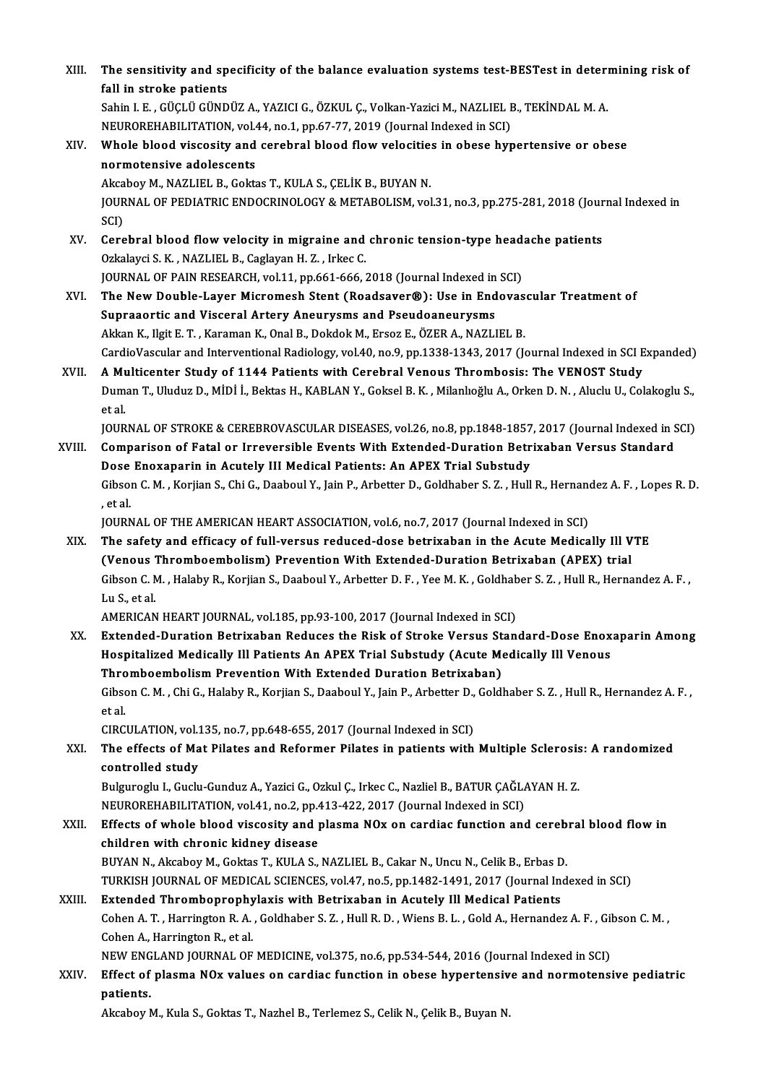| XIII.       | The sensitivity and specificity of the balance evaluation systems test-BESTest in determining risk of<br>fall in stroke patients                                                                                            |
|-------------|-----------------------------------------------------------------------------------------------------------------------------------------------------------------------------------------------------------------------------|
|             | Sahin I. E. , GÜÇLÜ GÜNDÜZ A., YAZICI G., ÖZKUL Ç., Volkan-Yazici M., NAZLIEL B., TEKİNDAL M. A.                                                                                                                            |
|             | NEUROREHABILITATION, vol.44, no.1, pp.67-77, 2019 (Journal Indexed in SCI)                                                                                                                                                  |
| XIV.        | Whole blood viscosity and cerebral blood flow velocities in obese hypertensive or obese                                                                                                                                     |
|             | normotensive adolescents<br>Akcaboy M., NAZLIEL B., Goktas T., KULA S., ÇELİK B., BUYAN N.                                                                                                                                  |
|             | JOURNAL OF PEDIATRIC ENDOCRINOLOGY & METABOLISM, vol.31, no.3, pp.275-281, 2018 (Journal Indexed in<br>SCI)                                                                                                                 |
| XV.         | Cerebral blood flow velocity in migraine and chronic tension-type headache patients                                                                                                                                         |
|             | Ozkalayci S. K., NAZLIEL B., Caglayan H. Z., Irkec C.                                                                                                                                                                       |
|             | JOURNAL OF PAIN RESEARCH, vol.11, pp.661-666, 2018 (Journal Indexed in SCI)                                                                                                                                                 |
| XVI.        | The New Double-Layer Micromesh Stent (Roadsaver®): Use in Endovascular Treatment of                                                                                                                                         |
|             | Supraaortic and Visceral Artery Aneurysms and Pseudoaneurysms                                                                                                                                                               |
|             | Akkan K., Ilgit E. T., Karaman K., Onal B., Dokdok M., Ersoz E., ÖZER A., NAZLIEL B.                                                                                                                                        |
|             | CardioVascular and Interventional Radiology, vol.40, no.9, pp.1338-1343, 2017 (Journal Indexed in SCI Expanded)                                                                                                             |
| XVII.       | A Multicenter Study of 1144 Patients with Cerebral Venous Thrombosis: The VENOST Study<br>Duman T., Uluduz D., MİDİ İ., Bektas H., KABLAN Y., Goksel B. K., Milanlıoğlu A., Orken D. N., Aluclu U., Colakoglu S.,<br>et al. |
|             | JOURNAL OF STROKE & CEREBROVASCULAR DISEASES, vol.26, no.8, pp.1848-1857, 2017 (Journal Indexed in SCI)                                                                                                                     |
| XVIII.      | Comparison of Fatal or Irreversible Events With Extended-Duration Betrixaban Versus Standard                                                                                                                                |
|             | Dose Enoxaparin in Acutely III Medical Patients: An APEX Trial Substudy                                                                                                                                                     |
|             | Gibson C. M., Korjian S., Chi G., Daaboul Y., Jain P., Arbetter D., Goldhaber S. Z., Hull R., Hernandez A. F., Lopes R. D.<br>, et al.                                                                                      |
|             | JOURNAL OF THE AMERICAN HEART ASSOCIATION, vol.6, no.7, 2017 (Journal Indexed in SCI)                                                                                                                                       |
| XIX.<br>XX. | The safety and efficacy of full-versus reduced-dose betrixaban in the Acute Medically Ill VTE                                                                                                                               |
|             | (Venous Thromboembolism) Prevention With Extended-Duration Betrixaban (APEX) trial                                                                                                                                          |
|             | Gibson C. M., Halaby R., Korjian S., Daaboul Y., Arbetter D. F., Yee M. K., Goldhaber S. Z., Hull R., Hernandez A. F.,<br>Lu S. et al.                                                                                      |
|             | AMERICAN HEART JOURNAL, vol.185, pp.93-100, 2017 (Journal Indexed in SCI)                                                                                                                                                   |
|             | Extended-Duration Betrixaban Reduces the Risk of Stroke Versus Standard-Dose Enoxaparin Among<br>Hospitalized Medically Ill Patients An APEX Trial Substudy (Acute Medically Ill Venous                                     |
|             | Thromboembolism Prevention With Extended Duration Betrixaban)                                                                                                                                                               |
|             | Gibson C. M., Chi G., Halaby R., Korjian S., Daaboul Y., Jain P., Arbetter D., Goldhaber S. Z., Hull R., Hernandez A. F.,                                                                                                   |
|             | et al.<br>CIRCULATION, vol.135, no.7, pp.648-655, 2017 (Journal Indexed in SCI)                                                                                                                                             |
| XXI.        | The effects of Mat Pilates and Reformer Pilates in patients with Multiple Sclerosis: A randomized<br>controlled study                                                                                                       |
|             | Bulguroglu I., Guclu-Gunduz A., Yazici G., Ozkul Ç., Irkec C., Nazliel B., BATUR ÇAĞLAYAN H. Z.                                                                                                                             |
|             | NEUROREHABILITATION, vol.41, no.2, pp.413-422, 2017 (Journal Indexed in SCI)                                                                                                                                                |
| XXII.       | Effects of whole blood viscosity and plasma NOx on cardiac function and cerebral blood flow in                                                                                                                              |
|             | children with chronic kidney disease                                                                                                                                                                                        |
|             | BUYAN N., Akcaboy M., Goktas T., KULA S., NAZLIEL B., Cakar N., Uncu N., Celik B., Erbas D.                                                                                                                                 |
|             | TURKISH JOURNAL OF MEDICAL SCIENCES, vol.47, no.5, pp.1482-1491, 2017 (Journal Indexed in SCI)                                                                                                                              |
| XXIII.      | Extended Thromboprophylaxis with Betrixaban in Acutely Ill Medical Patients                                                                                                                                                 |
|             | Cohen A. T., Harrington R. A., Goldhaber S. Z., Hull R. D., Wiens B. L., Gold A., Hernandez A. F., Gibson C. M.,                                                                                                            |
|             | Cohen A., Harrington R., et al.                                                                                                                                                                                             |
|             | NEW ENGLAND JOURNAL OF MEDICINE, vol.375, no.6, pp.534-544, 2016 (Journal Indexed in SCI)                                                                                                                                   |
| XXIV.       | Effect of plasma NOx values on cardiac function in obese hypertensive and normotensive pediatric<br>patients.                                                                                                               |
|             | Akcaboy M., Kula S., Goktas T., Nazhel B., Terlemez S., Celik N., Çelik B., Buyan N.                                                                                                                                        |
|             |                                                                                                                                                                                                                             |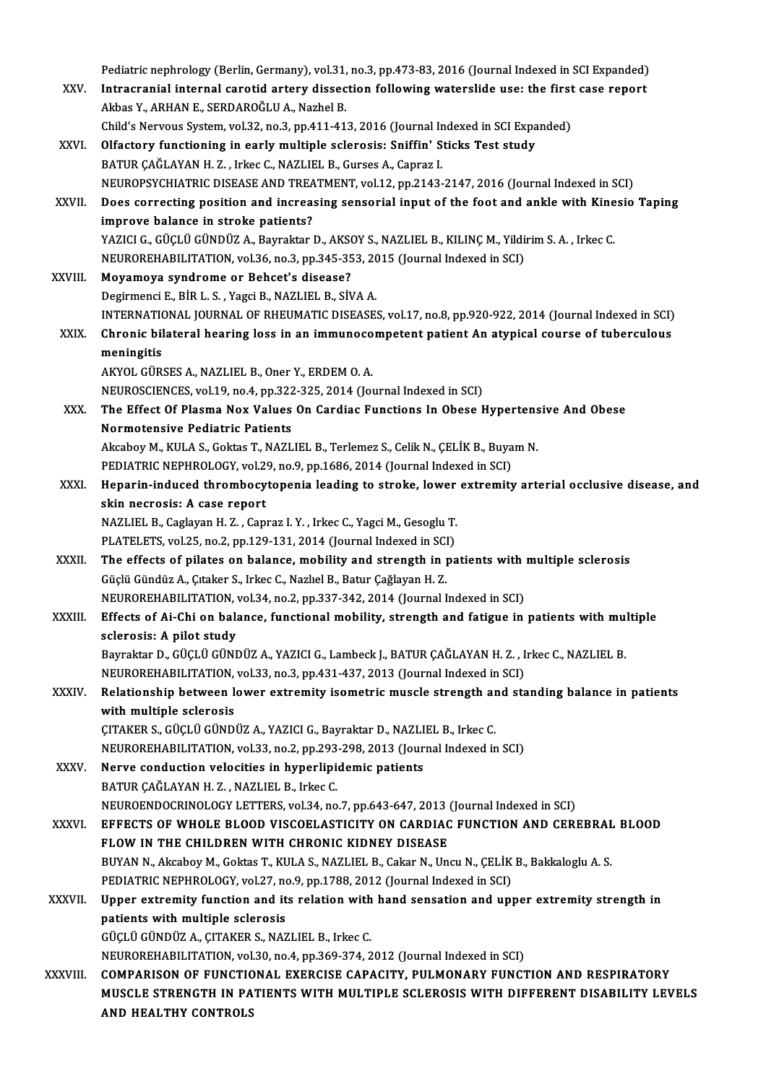Pediatric nephrology (Berlin, Germany), vol.31, no.3, pp.473-83, 2016 (Journal Indexed in SCI Expanded)<br>Intracranial internal caratid enteny dissection following wateralide year the first case repeat. Pediatric nephrology (Berlin, Germany), vol.31, no.3, pp.473-83, 2016 (Journal Indexed in SCI Expanded)<br>XXV. Intracranial internal carotid artery dissection following waterslide use: the first case report Pediatric nephrology (Berlin, Germany), vol.31,<br>Intracranial internal carotid artery dissec<br>Akbas Y., ARHAN E., SERDAROĞLU A., Nazhel B.<br>Child'e Newwys System vol.32, no.3, nn.411,41 Intracranial internal carotid artery dissection following waterslide use: the first case report<br>Akbas Y., ARHAN E., SERDAROĞLU A., Nazhel B.<br>Child's Nervous System, vol.32, no.3, pp.411-413, 2016 (Journal Indexed in SCI Ex Akbas Y., ARHAN E., SERDAROĞLU A., Nazhel B.<br>Child's Nervous System, vol.32, no.3, pp.411-413, 2016 (Journal Indexed in SCI Expa<br>XXVI. Olfactory functioning in early multiple sclerosis: Sniffin' Sticks Test study<br>PATUP CAČ Child's Nervous System, vol.32, no.3, pp.411-413, 2016 (Journal In Olfactory functioning in early multiple sclerosis: Sniffin' S<br>BATUR ÇAĞLAYAN H. Z. , Irkec C., NAZLIEL B., Gurses A., Capraz I.<br>NEUPORSYCHIATRIC DISEASE AN Olfactory functioning in early multiple sclerosis: Sniffin' Sticks Test study<br>BATUR ÇAĞLAYAN H. Z. , Irkec C., NAZLIEL B., Gurses A., Capraz I.<br>NEUROPSYCHIATRIC DISEASE AND TREATMENT, vol.12, pp.2143-2147, 2016 (Journal In BATUR ÇAĞLAYAN H. Z. , Irkec C., NAZLIEL B., Gurses A., Capraz I.<br>NEUROPSYCHIATRIC DISEASE AND TREATMENT, vol.12, pp.2143-2147, 2016 (Journal Indexed in SCI)<br>XXVII. Does correcting position and increasing sensorial input o NEUROPSYCHIATRIC DISEASE AND TREA<br>Does correcting position and increase<br>improve balance in stroke patients?<br>YAZICLC CÜCLÜ CÜNDÜZ A. Bayraktar. Does correcting position and increasing sensorial input of the foot and ankle with Kine<br>improve balance in stroke patients?<br>YAZICI G., GÜÇLÜ GÜNDÜZ A., Bayraktar D., AKSOY S., NAZLIEL B., KILINÇ M., Yildirim S. A. , Irkec improve balance in stroke patients?<br>YAZICI G., GÜÇLÜ GÜNDÜZ A., Bayraktar D., AKSOY S., NAZLIEL B., KILINÇ M., Yildi<br>NEUROREHABILITATION, vol.36, no.3, pp.345-353, 2015 (Journal Indexed in SCI)<br>Meyameya syndrome or Bobest' XXVIII. Moyamoya syndrome or Behcet's disease?<br>Degirmenci E., BİR L. S., Yagci B., NAZLIEL B., SİVA A. NEUROREHABILITATION, vol.36, no.3, pp.345-353, 2015 (Journal Indexed in SCI) Moyamoya syndrome or Behcet's disease?<br>Degirmenci E., BİR L. S. , Yagci B., NAZLIEL B., SİVA A.<br>INTERNATIONAL JOURNAL OF RHEUMATIC DISEASES, vol.17, no.8, pp.920-922, 2014 (Journal Indexed in SCI)<br>Chronis bilatoral bearing Degirmenci E., BİR L. S. , Yagci B., NAZLIEL B., SİVA A.<br>INTERNATIONAL JOURNAL OF RHEUMATIC DISEASES, vol.17, no.8, pp.920-922, 2014 (Journal Indexed in SCI)<br>XXIX. Chronic bilateral hearing loss in an immunocompetent p **INTERNATION**<br>Chronic bil<br>meningitis<br>AVVOL CÜR Chronic bilateral hearing loss in an immunocompetent patient An atypical course of tuberculous<br>meningitis<br>AKYOL GÜRSES A., NAZLIEL B., Oner Y., ERDEM O. A. NEUROSCIENCES, vol.19, no.4, pp.322-325, 2014 (Journal Indexed in SCI) AKYOL GÜRSES A., NAZLIEL B., Oner Y., ERDEM O. A.<br>NEUROSCIENCES, vol.19, no.4, pp.322-325, 2014 (Journal Indexed in SCI)<br>XXX. The Effect Of Plasma Nox Values On Cardiac Functions In Obese Hypertensive And Obese<br>Nermatensiv NEUROSCIENCES, vol.19, no.4, pp.322<br>The Effect Of Plasma Nox Values<br>Normotensive Pediatric Patients The Effect Of Plasma Nox Values On Cardiac Functions In Obese Hypertens<br>Normotensive Pediatric Patients<br>Akcaboy M., KULA S., Goktas T., NAZLIEL B., Terlemez S., Celik N., ÇELİK B., Buyam N.<br>PEDIATRIC NEPHROLOCY, vel 39, na Normotensive Pediatric Patients<br>Akcaboy M., KULA S., Goktas T., NAZLIEL B., Terlemez S., Celik N., ÇELİK B., Buyam N.<br>PEDIATRIC NEPHROLOGY, vol.29, no.9, pp.1686, 2014 (Journal Indexed in SCI) Akcaboy M., KULA S., Goktas T., NAZLIEL B., Terlemez S., Celik N., ÇELİK B., Buyam N.<br>PEDIATRIC NEPHROLOGY, vol.29, no.9, pp.1686, 2014 (Journal Indexed in SCI)<br>XXXI. Heparin-induced thrombocytopenia leading to stroke, low PEDIATRIC NEPHROLOGY, vol.2<br>Heparin-induced thrombocy<br>skin necrosis: A case report<br>NAZI IEL B. Caslavan H. Z. Can Heparin-induced thrombocytopenia leading to stroke, lower<br>skin necrosis: A case report<br>NAZLIEL B., Caglayan H. Z. , Capraz I. Y. , Irkec C., Yagci M., Gesoglu T.<br>PLATELETS, vol.25, no.2, nn.129, 121, 2014 (Journal Indoved skin necrosis: A case report<br>NAZLIEL B., Caglayan H. Z. , Capraz I. Y. , Irkec C., Yagci M., Gesoglu T. XXXII. The effects of pilates on balance, mobility and strength in patients with multiple sclerosis<br>Güçlü Gündüz A., Çıtaker S., Irkec C., Nazlıel B., Batur Çağlayan H. Z. PLATELETS, vol.25, no.2, pp.129-131, 2014 (Journal Indexed in SCI) The effects of pilates on balance, mobility and strength in patients with<br>Güçlü Gündüz A., Çıtaker S., Irkec C., Nazlıel B., Batur Çağlayan H. Z.<br>NEUROREHABILITATION, vol.34, no.2, pp.337-342, 2014 (Journal Indexed in SCI) XXXIII. Effects of Ai-Chi on balance, functional mobility, strength and fatigue in patients with multiple sclerosis: A pilot study NEUROREHABILITATION,<br>Effects of Ai-Chi on bala<br>sclerosis: A pilot study<br>Boymaltor D. CÜCLÜ CÜNI Effects of Ai-Chi on balance, functional mobility, strength and fatigue in patients with multiple sclerosis: A pilot study<br>Bayraktar D., GÜÇLÜ GÜNDÜZ A., YAZICI G., Lambeck J., BATUR ÇAĞLAYAN H. Z. , Irkec C., NAZLIEL B.<br>N sclerosis: A pilot study<br>Bayraktar D., GÜÇLÜ GÜNDÜZ A., YAZICI G., Lambeck J., BATUR ÇAĞLAYAN H. Z. , I<br>NEUROREHABILITATION, vol.33, no.3, pp.431-437, 2013 (Journal Indexed in SCI)<br>Pelationskin batusen Journ eutremity isem Bayraktar D., GÜÇLÜ GÜNDÜZ A., YAZICI G., Lambeck J., BATUR ÇAĞLAYAN H. Z. , Irkec C., NAZLIEL B.<br>NEUROREHABILITATION, vol.33, no.3, pp.431-437, 2013 (Journal Indexed in SCI)<br>XXXIV. Relationship between lower extremity iso NEUROREHABILITATION, vol.33, no.3, pp.431-437, 2013 (Journal Indexed in SCI)<br>Relationship between lower extremity isometric muscle strength and sta<br>with multiple sclerosis<br>CITAKER S., GÜÇLÜ GÜNDÜZ A., YAZICI G., Bayraktar Relationship between lower extremity isometric muscle strength an<br>with multiple sclerosis<br>CITAKER S., GÜÇLÜ GÜNDÜZ A., YAZICI G., Bayraktar D., NAZLIEL B., Irkec C.<br>NEUDOPEHABU ITATION vel 33, po 3, pp 303, 309, 3013 (Jour NEUROREHABILITATION, vol.33, no.2, pp.293-298, 2013 (Journal Indexed in SCI) CITAKER S., GÜÇLÜ GÜNDÜZ A., YAZICI G., Bayraktar D., NAZLI<br>NEUROREHABILITATION, vol.33, no.2, pp.293-298, 2013 (Jour<br>XXXV. Nerve conduction velocities in hyperlipidemic patients NEUROREHABILITATION, vol.33, no.2, pp.293<br>Nerve conduction velocities in hyperlipi<br>BATUR ÇAĞLAYAN H. Z. , NAZLIEL B., Irkec C.<br>NEUPOENDOCPINOLOCY LETTEPS vol.34, no BATUR ÇAĞLAYAN H. Z., NAZLIEL B., Irkec C.<br>NEUROENDOCRINOLOGY LETTERS, vol.34, no.7, pp.643-647, 2013 (Journal Indexed in SCI) XXXVI. EFFECTS OFWHOLE BLOOD VISCOELASTICITY ON CARDIAC FUNCTION AND CEREBRAL BLOOD NEUROENDOCRINOLOGY LETTERS, vol.34, no.7, pp.643-647, 2013<br>EFFECTS OF WHOLE BLOOD VISCOELASTICITY ON CARDIAC<br>FLOW IN THE CHILDREN WITH CHRONIC KIDNEY DISEASE<br>PINAN N. Akosbov M. Coktog T. KILA S. NAZLIEL B. Cokor N. Un EFFECTS OF WHOLE BLOOD VISCOELASTICITY ON CARDIAC FUNCTION AND CEREBRAL<br>FLOW IN THE CHILDREN WITH CHRONIC KIDNEY DISEASE<br>BUYAN N., Akcaboy M., Goktas T., KULA S., NAZLIEL B., Cakar N., Uncu N., ÇELİK B., Bakkaloglu A. S.<br>B FLOW IN THE CHILDREN WITH CHRONIC KIDNEY DISEASE<br>BUYAN N., Akcaboy M., Goktas T., KULA S., NAZLIEL B., Cakar N., Uncu N., CELIK B., Bakkaloglu A. S. XXXVII. Upper extremity function and its relation with hand sensation and upper extremity strength in<br>patients with multiple sclerosis PEDIATRIC NEPHROLOGY, vol.27, no.9, pp.1788, 2012 (Journal Indexed in SCI) GÜÇLÜGÜNDÜZA.,ÇITAKERS.,NAZLIELB., IrkecC. NEUROREHABILITATION, vol.30, no.4, pp.369-374, 2012 (Journal Indexed in SCI) GÜÇLÜ GÜNDÜZ A., ÇITAKER S., NAZLIEL B., Irkec C.<br>NEUROREHABILITATION, vol.30, no.4, pp.369-374, 2012 (Journal Indexed in SCI)<br>XXXVIII. COMPARISON OF FUNCTIONAL EXERCISE CAPACITY, PULMONARY FUNCTION AND RESPIRATORY<br>MIS MUSCLE STRENGTH IN PATIENTS WITH MULTIPLE SCLEROSIS WITH DIFFERENT DISABILITY LEVELS<br>AND HEALTHY CONTROLS COMPARISON OF FUNCTIC<br>MUSCLE STRENGTH IN PA<br>AND HEALTHY CONTROLS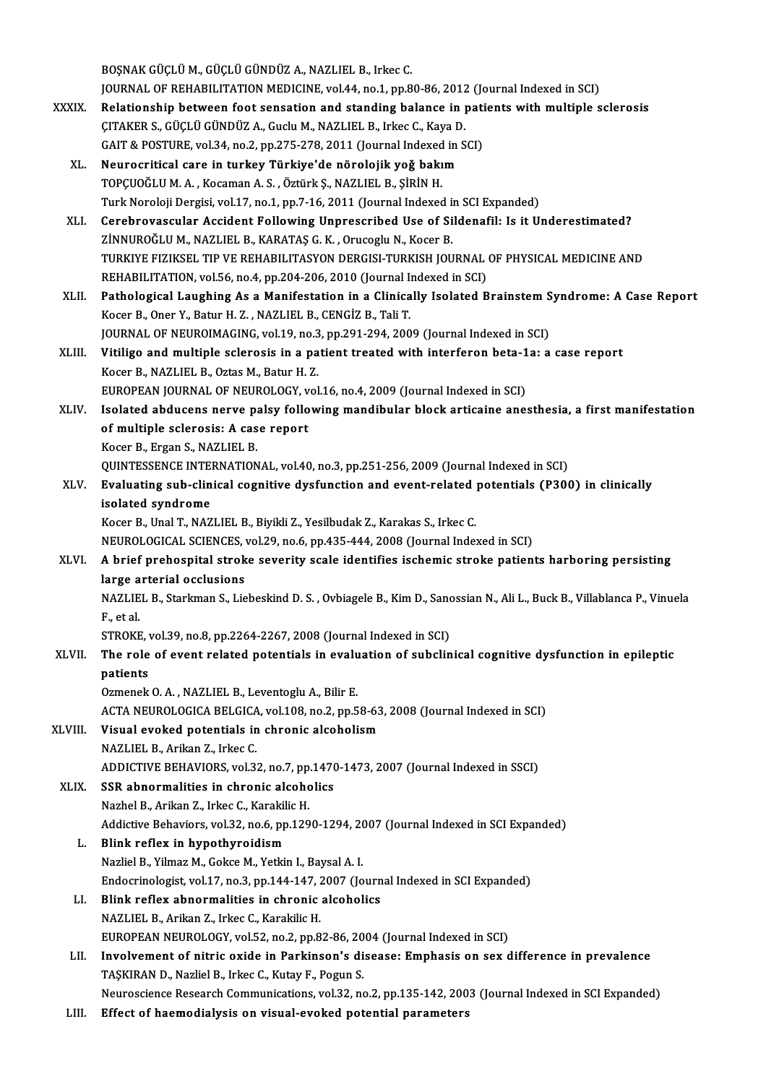BOŞNAK GÜÇLÜ M., GÜÇLÜ GÜNDÜZ A., NAZLIEL B., Irkec C. BOŞNAK GÜÇLÜ M., GÜÇLÜ GÜNDÜZ A., NAZLIEL B., Irkec C.<br>JOURNAL OF REHABILITATION MEDICINE, vol.44, no.1, pp.80-86, 2012 (Journal Indexed in SCI)<br>Pelationabin betusen feet sensation and standing belange in nationts with mul BOŞNAK GÜÇLÜ M., GÜÇLÜ GÜNDÜZ A., NAZLIEL B., Irkec C.<br>JOURNAL OF REHABILITATION MEDICINE, vol.44, no.1, pp.80-86, 2012 (Journal Indexed in SCI)<br>XXXIX. Relationship between foot sensation and standing balance in patien JOURNAL OF REHABILITATION MEDICINE, vol.44, no.1, pp.80-86, 2012<br>Relationship between foot sensation and standing balance in **1**<br>CAIT & POSTUPE vol.24, pp.2, pp.275, 279, 2011 (Journal Indoved in S Relationship between foot sensation and standing balance in pati<br>CITAKER S., GÜÇLÜ GÜNDÜZ A., Guclu M., NAZLIEL B., Irkec C., Kaya D.<br>GAIT & POSTURE, vol.34, no.2, pp.275-278, 2011 (Journal Indexed in SCI)<br>Naurocritical ca ÇITAKER S., GÜÇLÜ GÜNDÜZ A., Guclu M., NAZLIEL B., Irkec C., Kaya D.<br>GAIT & POSTURE, vol.34, no.2, pp.275-278, 2011 (Journal Indexed in SCI)<br>XL. Neurocritical care in turkey Türkiye'de nörolojik yoğ bakım TOPÇUOĞLU M. A., Kocaman A. S., Öztürk Ş., NAZLIEL B., ŞİRİN H. Turk Noroloji Dergisi, vol.17, no.1, pp.7-16, 2011 (Journal Indexed in SCI Expanded) XLI. Cerebrovascular Accident Following Unprescribed Use of Sildenafil: Is it Underestimated? ZİNNUROĞLU M., NAZLIEL B., KARATAŞ G. K., Orucoglu N., Kocer B. Cerebrovascular Accident Following Unprescribed Use of Sildenafil: Is it Underestimated?<br>ZİNNUROĞLU M., NAZLIEL B., KARATAŞ G. K. , Orucoglu N., Kocer B.<br>TURKIYE FIZIKSEL TIP VE REHABILITASYON DERGISI-TURKISH JOURNAL OF PH ZİNNUROĞLU M., NAZLIEL B., KARATAŞ G. K. , Orucoglu N., Kocer B.<br>TURKIYE FIZIKSEL TIP VE REHABILITASYON DERGISI-TURKISH JOURNAL<br>REHABILITATION, vol.56, no.4, pp.204-206, 2010 (Journal Indexed in SCI)<br>Pathological Laughing REHABILITATION, vol.56, no.4, pp.204-206, 2010 (Journal Indexed in SCI)<br>XLII. Pathological Laughing As a Manifestation in a Clinically Isolated Brainstem Syndrome: A Case Report Kocer B., Oner Y., Batur H. Z., NAZLIEL B., CENGİZ B., Tali T. Pathological Laughing As a Manifestation in a Clinically Isolated Brainstem S<br>Kocer B., Oner Y., Batur H. Z. , NAZLIEL B., CENGİZ B., Tali T.<br>JOURNAL OF NEUROIMAGING, vol.19, no.3, pp.291-294, 2009 (Journal Indexed in SCI) Kocer B., Oner Y., Batur H. Z. , NAZLIEL B., CENGİZ B., Tali T.<br>JOURNAL OF NEUROIMAGING, vol.19, no.3, pp.291-294, 2009 (Journal Indexed in SCI)<br>XLIII. Vitiligo and multiple sclerosis in a patient treated with interferon b JOURNAL OF NEUROIMAGING, vol.19, no.3<br>Vitiligo and multiple sclerosis in a pa<br>Kocer B., NAZLIEL B., Oztas M., Batur H. Z.<br>FUROPEAN JOURNAL OF NEUROLOCY vol Vitiligo and multiple sclerosis in a patient treated with interferon beta-1<br>Kocer B., NAZLIEL B., Oztas M., Batur H. Z.<br>EUROPEAN JOURNAL OF NEUROLOGY, vol.16, no.4, 2009 (Journal Indexed in SCI)<br>Isalated abdueens nows naky Kocer B., NAZLIEL B., Oztas M., Batur H. Z.<br>EUROPEAN JOURNAL OF NEUROLOGY, vol.16, no.4, 2009 (Journal Indexed in SCI)<br>XLIV. Isolated abducens nerve palsy following mandibular block articaine anesthesia, a first manifestat EUROPEAN JOURNAL OF NEUROLOGY, v<br>Isolated abducens nerve palsy follo<br>of multiple sclerosis: A case report<br>Keser B. Exser S. NAZI JEL B. **Isolated abducens nerve particular**<br>of multiple sclerosis: A cas<br>Kocer B., Ergan S., NAZLIEL B.<br>OUINTESSENCE INTERNATION of multiple sclerosis: A case report<br>Kocer B., Ergan S., NAZLIEL B.<br>QUINTESSENCE INTERNATIONAL, vol.40, no.3, pp.251-256, 2009 (Journal Indexed in SCI) Kocer B., Ergan S., NAZLIEL B.<br>QUINTESSENCE INTERNATIONAL, vol.40, no.3, pp.251-256, 2009 (Journal Indexed in SCI)<br>XLV. Evaluating sub-clinical cognitive dysfunction and event-related potentials (P300) in clinically<br>is isolated syndrome<br>Kocer B., Unal T., NAZLIEL B., Biyikli Z., Yesilbudak Z., Karakas S., Irkec C. Evaluating sub-clinical cognitive dysfunction and event-related<br>isolated syndrome<br>Kocer B., Unal T., NAZLIEL B., Biyikli Z., Yesilbudak Z., Karakas S., Irkec C.<br>NEUPOLOCICAL SCIENCES vol 39 no 6 nn 425 444 3008 (Journal In isolated syndrome<br>Kocer B., Unal T., NAZLIEL B., Biyikli Z., Yesilbudak Z., Karakas S., Irkec C.<br>NEUROLOGICAL SCIENCES, vol.29, no.6, pp.435-444, 2008 (Journal Indexed in SCI)<br>A hrief nrebesnitel streke severity ssele iden XLVI. A brief prehospital stroke severity scale identifies ischemic stroke patients harboring persisting NEUROLOGICAL SCIENCES,<br>A brief prehospital strok<br>large arterial occlusions<br>NAZLIEL B. Starlman S. Lie A brief prehospital stroke severity scale identifies ischemic stroke patients harboring persisting<br>large arterial occlusions<br>NAZLIEL B., Starkman S., Liebeskind D. S. , Ovbiagele B., Kim D., Sanossian N., Ali L., Buck B., l<mark>arge a</mark><br>NAZLIE<br>F., et al.<br>STROVE NAZLIEL B., Starkman S., Liebeskind D. S. , Ovbiagele B., Kim D., Sanc<br>F., et al.<br>STROKE, vol.39, no.8, pp.2264-2267, 2008 (Journal Indexed in SCI)<br>The role of syent related potentials in evoluation of subelin F., et al.<br>STROKE, vol.39, no.8, pp.2264-2267, 2008 (Journal Indexed in SCI)<br>XLVII. The role of event related potentials in evaluation of subclinical cognitive dysfunction in epileptic<br>nationts STROKE, v<br>The role<br>patients<br>Ormonek The role of event related potentials in evalupatients<br>Ozmenek O.A., NAZLIEL B., Leventoglu A., Bilir E.<br>ACTA NEUPOLOGICA PELGICA vol 109 no 3 nn 5 patients<br>Ozmenek O. A. , NAZLIEL B., Leventoglu A., Bilir E.<br>ACTA NEUROLOGICA BELGICA, vol.108, no.2, pp.58-63, 2008 (Journal Indexed in SCI)<br>Viavel explied natantials in chronis alsoholiam Ozmenek O. A. , NAZLIEL B., Leventoglu A., Bilir E.<br>ACTA NEUROLOGICA BELGICA, vol.108, no.2, pp.58-6<br>XLVIII. Visual evoked potentials in chronic alcoholism<br>NAZLIEL B., Arikan Z., Irkec C. ACTA NEUROLOGICA BELGICA<br>Visual evoked potentials in<br>NAZLIEL B., Arikan Z., Irkec C.<br>ADDICTIVE PEHAVIOPS, vol 3 Visual evoked potentials in chronic alcoholism<br>NAZLIEL B., Arikan Z., Irkec C.<br>ADDICTIVE BEHAVIORS, vol.32, no.7, pp.1470-1473, 2007 (Journal Indexed in SSCI)<br>SSR abnormalities in shronis alsoholiss XLIX. SSR abnormalities in chronic alcoholics ADDICTIVE BEHAVIORS, vol.32, no.7, pp<br>SSR abnormalities in chronic alcoho<br>Nazhel B., Arikan Z., Irkec C., Karakilic H.<br>Addistive Behaviors, vol.32, no.6, nn.139 SSR abnormalities in chronic alcoholics<br>Nazhel B., Arikan Z., Irkec C., Karakilic H.<br>Addictive Behaviors, vol.32, no.6, pp.1290-1294, 2007 (Journal Indexed in SCI Expanded)<br>Blink reflex in bynothyroidiem L. Blink reflex in hypothyroidism<br>Nazliel B., Yilmaz M., Gokce M., Yetkin I., Baysal A. I. Addictive Behaviors, vol.32, no.6, pp.1290-1294, 20<br>Blink reflex in hypothyroidism<br>Nazliel B., Yilmaz M., Gokce M., Yetkin I., Baysal A. I.<br>Endecripelegist vol.17, no.2, np.144, 147, 2007.(Jo Blink reflex in hypothyroidism<br>Nazliel B., Yilmaz M., Gokce M., Yetkin I., Baysal A. I.<br>Endocrinologist, vol.17, no.3, pp.144-147, 2007 (Journal Indexed in SCI Expanded)<br>Blink reflex shnormalities in shronis alsoholiss. LI. Blink reflex abnormalities in chronic alcoholics Endocrinologist, vol.17, no.3, pp.144-147, 2<br>Blink reflex abnormalities in chronic<br>NAZLIEL B., Arikan Z., Irkec C., Karakilic H.<br>EUROPEAN NEUPOLOCY vol.52, no.3, nn.9 Blink reflex abnormalities in chronic alcoholics<br>NAZLIEL B., Arikan Z., Irkec C., Karakilic H.<br>EUROPEAN NEUROLOGY, vol.52, no.2, pp.82-86, 2004 (Journal Indexed in SCI)<br>Involvement of nitrie evide in Perkinson's disease: E LII. Involvement of nitric oxide in Parkinson's disease: Emphasis on sex difference in prevalence<br>TASKIRAN D., Nazliel B., Irkec C., Kutay F., Pogun S. EUROPEAN NEUROLOGY, vol.52, no.2, pp.82-86, 20<br>Involvement of nitric oxide in Parkinson's di<br>TAŞKIRAN D., Nazliel B., Irkec C., Kutay F., Pogun S.<br>Naunossianse Besearsh Communisations vol.32, no Neuroscience Research Communications, vol.32, no.2, pp.135-142, 2003 (Journal Indexed in SCI Expanded) LIII. Effect of haemodialysis on visual-evoked potential parameters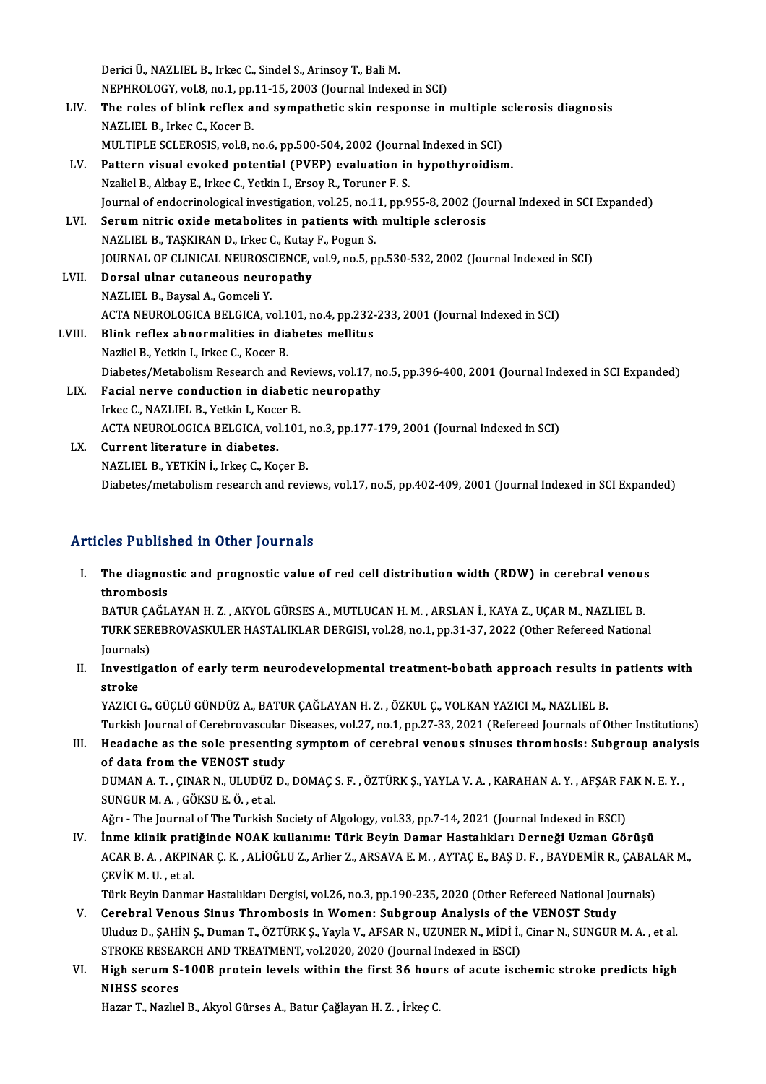Derici Ü., NAZLIEL B., Irkec C., Sindel S., Arinsoy T., Bali M. NEPHROLOGY, vol.8, no.1, pp.11-15, 2003 (Journal Indexed in SCI) Derici Ü., NAZLIEL B., Irkec C., Sindel S., Arinsoy T., Bali M.<br>NEPHROLOGY, vol.8, no.1, pp.11-15, 2003 (Journal Indexed in SCI)<br>LIV. The roles of blink reflex and sympathetic skin response in multiple sclerosis diagnosis<br> NEPHROLOGY, vol.8, no.1, pp.<br>The roles of blink reflex a<br>NAZLIEL B., Irkec C., Kocer B.<br>MIU TIPLE SCLEPOSIS vol.8 The roles of blink reflex and sympathetic skin response in multiple s<br>NAZLIEL B., Irkec C., Kocer B.<br>MULTIPLE SCLEROSIS, vol.8, no.6, pp.500-504, 2002 (Journal Indexed in SCI)<br>Pattern visual avaked notantial (PVEP) avaluat NAZLIEL B., Irkec C., Kocer B.<br>MULTIPLE SCLEROSIS, vol.8, no.6, pp.500-504, 2002 (Journal Indexed in SCI)<br>LV. Pattern visual evoked potential (PVEP) evaluation in hypothyroidism. NzalielB.,AkbayE., IrkecC.,YetkinI.,ErsoyR.,Toruner F.S. Journal of endocrinological investigation, vol.25, no.11, pp.955-8, 2002 (Journal Indexed in SCI Expanded) Nzaliel B., Akbay E., Irkec C., Yetkin I., Ersoy R., Toruner F. S.<br>Journal of endocrinological investigation, vol.25, no.11, pp.955-8, 2002 (Journal of endocrinological investigation, vol.25, no.11, pp.955-8, 2002 (Journal Journal of endocrinological investigation, vol.25, no.1<br>Serum nitric oxide metabolites in patients with<br>NAZLIEL B., TAŞKIRAN D., Irkec C., Kutay F., Pogun S.<br>JOUPNAL OF CLINICAL NEUPOSCIENCE vol.9 no.5 n Serum nitric oxide metabolites in patients with multiple sclerosis<br>NAZLIEL B., TAŞKIRAN D., Irkec C., Kutay F., Pogun S.<br>JOURNAL OF CLINICAL NEUROSCIENCE, vol.9, no.5, pp.530-532, 2002 (Journal Indexed in SCI)<br>Dorsal ulpar NAZLIEL B., TAŞKIRAN D., Irkec C., Kutay F., Pogun S.<br>JOURNAL OF CLINICAL NEUROSCIENCE, vol.9, no.5, p<br>LVII. Dorsal ulnar cutaneous neuropathy<br>NAZLIEL B., Baysal A., Gomceli Y. **JOURNAL OF CLINICAL NEUROSO**<br>**Dorsal ulnar cutaneous neure<br>NAZLIEL B., Baysal A., Gomceli Y.<br>ACTA NEUROLOGICA BELGICA W** Dorsal ulnar cutaneous neuropathy<br>NAZLIEL B., Baysal A., Gomceli Y.<br>ACTA NEUROLOGICA BELGICA, vol.101, no.4, pp.232-233, 2001 (Journal Indexed in SCI)<br>Plink reflex chnormalities in dishetes mellitus LVIII. Blink reflex abnormalities in diabetes mellitus<br>Nazliel B., Yetkin I., Irkec C., Kocer B. ACTA NEUROLOGICA BELGICA, vol.1<br>Blink reflex abnormalities in dia<br>Nazliel B., Yetkin I., Irkec C., Kocer B.<br>Diabates (Metabaliam Bessarsh and Blink reflex abnormalities in diabetes mellitus<br>Nazliel B., Yetkin I., Irkec C., Kocer B.<br>Diabetes/Metabolism Research and Reviews, vol.17, no.5, pp.396-400, 2001 (Journal Indexed in SCI Expanded)<br>Fesial nerve sendustion i Nazliel B., Yetkin I., Irkec C., Kocer B.<br>Diabetes/Metabolism Research and Reviews, vol.17, no<br>LIX. Facial nerve conduction in diabetic neuropathy Diabetes/Metabolism Research and Re<br>Facial nerve conduction in diabeti<br>Irkec C., NAZLIEL B., Yetkin I., Kocer B.<br>ACTA NEUPOLOCICA PELCICA vol.101 Facial nerve conduction in diabetic neuropathy<br>Irkec C., NAZLIEL B., Yetkin I., Kocer B.<br>ACTA NEUROLOGICA BELGICA, vol.101, no.3, pp.177-179, 2001 (Journal Indexed in SCI)<br>Cunnent literature in diabetes Irkec C., NAZLIEL B., Yetkin I., Koce<br>ACTA NEUROLOGICA BELGICA, vol<br>LX. Current literature in diabetes. ACTA NEUROLOGICA BELGICA, vol.101,<br>Current literature in diabetes.<br>NAZLIEL B., YETKİN İ., Irkeç C., Koçer B.<br>Diabetes (metabelism ressearsb and revi

LX. Current literature in diabetes.<br>NAZLIEL B., YETKİN İ., Irkeç C., Koçer B.<br>Diabetes/metabolism research and reviews, vol.17, no.5, pp.402-409, 2001 (Journal Indexed in SCI Expanded)

## Articles Published in Other Journals

rticles Published in Other Journals<br>I. The diagnostic and prognostic value of red cell distribution width (RDW) in cerebral venous<br>thrombosis  $\begin{array}{ll}\n\text{The diagnosis} \text{thromosis} \\\n\text{thrombasis} \\\n\text{A-TID CACI}\n\end{array}$ The diagnostic and prognostic value of red cell distribution width (RDW) in cerebral venous<br>thrombosis<br>BATUR ÇAĞLAYAN H. Z. , AKYOL GÜRSES A., MUTLUCAN H. M. , ARSLAN İ., KAYA Z., UÇAR M., NAZLIEL B.<br>TURK SEREPROVASKULER H

thrombosis<br>BATUR ÇAĞLAYAN H. Z. , AKYOL GÜRSES A., MUTLUCAN H. M. , ARSLAN İ., KAYA Z., UÇAR M., NAZLIEL B.<br>TURK SEREBROVASKULER HASTALIKLAR DERGISI, vol.28, no.1, pp.31-37, 2022 (Other Refereed National BATUR ÇA<br>TURK SER<br>Journals)<br>Investige TURK SEREBROVASKULER HASTALIKLAR DERGISI, vol.28, no.1, pp.31-37, 2022 (Other Refereed National<br>Journals)<br>II. Investigation of early term neurodevelopmental treatment-bobath approach results in patients with<br>stroke

Journal<mark>:</mark><br>Investi<br>stroke<br><sup>VAZICI</sup>

stroke<br>YAZICI G., GÜÇLÜ GÜNDÜZ A., BATUR ÇAĞLAYAN H. Z. , ÖZKUL Ç., VOLKAN YAZICI M., NAZLIEL B.

stroke<br>YAZICI G., GÜÇLÜ GÜNDÜZ A., BATUR ÇAĞLAYAN H. Z. , ÖZKUL Ç., VOLKAN YAZICI M., NAZLIEL B.<br>Turkish Journal of Cerebrovascular Diseases, vol.27, no.1, pp.27-33, 2021 (Refereed Journals of Other Institutions)<br>Haadaske YAZICI G., GÜÇLÜ GÜNDÜZ A., BATUR ÇAĞLAYAN H. Z. , ÖZKUL Ç., VOLKAN YAZICI M., NAZLIEL B.<br>Turkish Journal of Cerebrovascular Diseases, vol.27, no.1, pp.27-33, 2021 (Refereed Journals of Other Institutions)<br>III. Headache as Turkish Journal of Cerebrovascular<br>Headache as the sole presenting<br>of data from the VENOST study<br>DUMAN A T. CINAR N. ULUDÜZ D

Headache as the sole presenting symptom of cerebral venous sinuses thrombosis: Subgroup analy:<br>of data from the VENOST study<br>DUMAN A. T. , ÇINAR N., ULUDÜZ D., DOMAÇ S. F. , ÖZTÜRK Ş., YAYLA V. A. , KARAHAN A. Y. , AFŞAR F of data from the VENOST stud<br>DUMAN A. T. , ÇINAR N., ULUDÜZ<br>SUNGUR M. A. , GÖKSU E. Ö. , et al.<br>Ağrı , The Jeurnal of The Turkish DUMAN A. T. , ÇINAR N., ULUDÜZ D., DOMAÇ S. F. , ÖZTÜRK Ş., YAYLA V. A. , KARAHAN A. Y. , AFŞAR F.<br>SUNGUR M. A. , GÖKSU E. Ö. , et al.<br>Ağrı - The Journal of The Turkish Society of Algology, vol.33, pp.7-14, 2021 (Journal I

SUNGUR M. A. , GÖKSU E. Ö. , et al.<br>Ağrı - The Journal of The Turkish Society of Algology, vol.33, pp.7-14, 2021 (Journal Indexed in ESCI)<br>IV. İnme klinik pratiğinde NOAK kullanımı: Türk Beyin Damar Hastalıkları Derneği

Ağrı - The Journal of The Turkish Society of Algology, vol.33, pp.7-14, 2021 (Journal Indexed in ESCI)<br><mark>İnme klinik pratiğinde NOAK kullanımı: Türk Beyin Damar Hastalıkları Derneği Uzman Görüşü</mark><br>ACAR B. A. , AKPINAR Ç. K. **İnme klinik prat<br>ACAR B. A. , AKPIN<br>ÇEVİK M. U. , et al.**<br>Türk Pevin Danme ACAR B. A. , AKPINAR Ç. K. , ALİOĞLU Z., Arlier Z., ARSAVA E. M. , AYTAÇ E., BAŞ D. F. , BAYDEMİR R., ÇABAL<br>ÇEVİK M. U. , et al.<br>Türk Beyin Danmar Hastalıkları Dergisi, vol.26, no.3, pp.190-235, 2020 (Other Refereed Nation CEVİK M. U. , et al.<br>Türk Beyin Danmar Hastalıkları Dergisi, vol.26, no.3, pp.190-235, 2020 (Other Refereed National Journal Thrombosis in Women: Subgroup Analysis of the VENOST Study<br>Undug D. SAHİN S. Duman T. ÖZTÜRK S. V

- Türk Beyin Danmar Hastalıkları Dergisi, vol.26, no.3, pp.190-235, 2020 (Other Refereed National Journals)<br>Cerebral Venous Sinus Thrombosis in Women: Subgroup Analysis of the VENOST Study<br>Uluduz D., ŞAHİN Ş., Duman T., ÖZTÜ V. Cerebral Venous Sinus Thrombosis in Women: Subgroup Analysis of the VENOST Study<br>Uluduz D., ŞAHİN Ş., Duman T., ÖZTÜRK Ş., Yayla V., AFSAR N., UZUNER N., MİDİ İ., Cinar N., SUNGUR M. A. , et al.<br>STROKE RESEARCH AND TREA Uluduz D., ŞAHİN Ş., Duman T., ÖZTÜRK Ş., Yayla V., AFSAR N., UZUNER N., MİDİ İ., Cinar N., SUNGUR M. A. , et al.<br>STROKE RESEARCH AND TREATMENT, vol.2020, 2020 (Journal Indexed in ESCI)<br>VI. High serum S-100B protein le
- STROKE RESEA<br>High serum S-<br>NIHSS scores<br>Hazar T. Nazha High serum S-100B protein levels within the first 36 hour<br>NIHSS scores<br>Hazar T., Nazlıel B., Akyol Gürses A., Batur Çağlayan H. Z. , İrkeç C.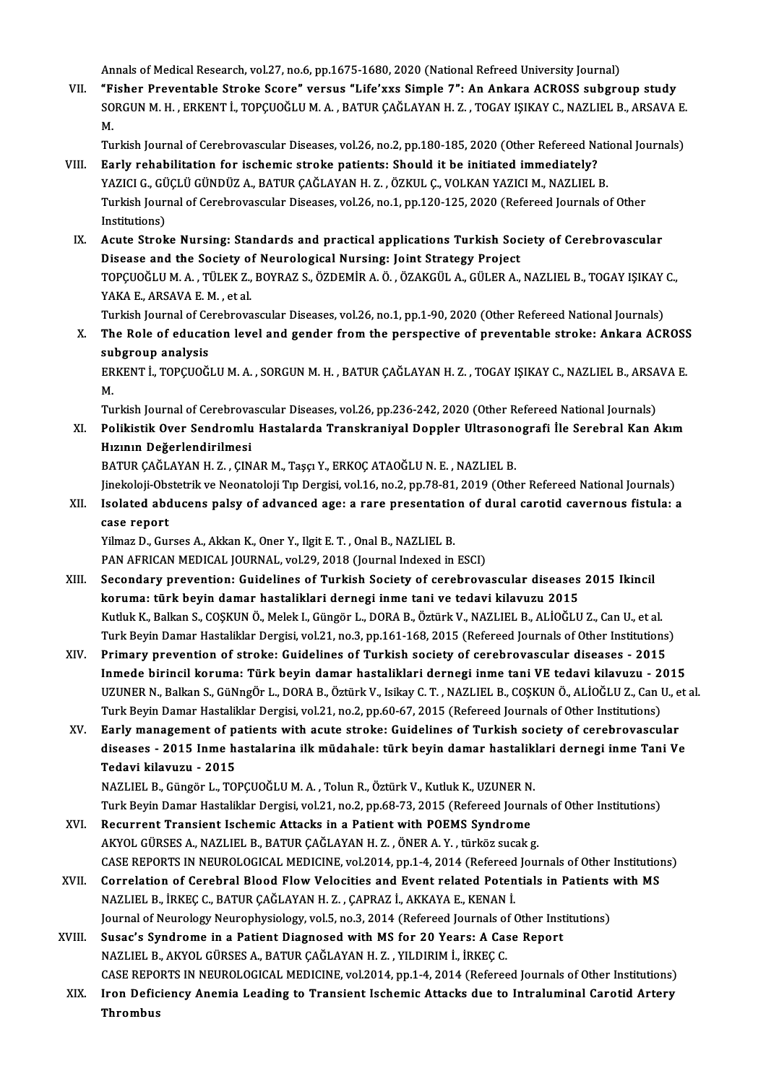Annals of Medical Research, vol.27, no.6, pp.1675-1680, 2020 (National Refreed University Journal)

VII. "Fisher Preventable Stroke Score" versus "Life'xxs Simple 7": An Ankara ACROSS subgroup study Annals of Medical Research, vol.27, no.6, pp.1675-1680, 2020 (National Refreed University Journal)<br>"Fisher Preventable Stroke Score" versus "Life'xxs Simple 7": An Ankara ACROSS subgroup study<br>SORGUN M. H. , ERKENT İ., TOP "F<br>SO<br>M. SORGUN M. H. , ERKENT İ., TOPÇUOĞLU M. A. , BATUR ÇAĞLAYAN H. Z. , TOGAY IŞIKAY C., NAZLIEL B., ARSAVA E.<br>M.<br>Turkish Journal of Cerebrovascular Diseases, vol.26, no.2, pp.180-185, 2020 (Other Refereed National Journals)<br>Fa

- M.<br>Turkish Journal of Cerebrovascular Diseases, vol.26, no.2, pp.180-185, 2020 (Other Refereed Na<br>VIII. Early rehabilitation for ischemic stroke patients: Should it be initiated immediately?<br>VAZICLO CLICLIL CUNDITA A BATUR Turkish Journal of Cerebrovascular Diseases, vol.26, no.2, pp.180-185, 2020 (Other Refereed National Carly rehabilitation for ischemic stroke patients: Should it be initiated immediately?<br>YAZICI G., GÜÇLÜ GÜNDÜZ A., BATUR Early rehabilitation for ischemic stroke patients: Should it be initiated immediately?<br>YAZICI G., GÜÇLÜ GÜNDÜZ A., BATUR ÇAĞLAYAN H. Z. , ÖZKUL Ç., VOLKAN YAZICI M., NAZLIEL B.<br>Turkish Journal of Cerebrovascular Diseases, YAZICI G., GÜ<br>Turkish Journ<br>Institutions)<br>Acute Strek Turkish Journal of Cerebrovascular Diseases, vol.26, no.1, pp.120-125, 2020 (Refereed Journals of Other<br>Institutions)<br>IX. Acute Stroke Nursing: Standards and practical applications Turkish Society of Cerebrovascular
- Institutions)<br>Acute Stroke Nursing: Standards and practical applications Turkish Soc<br>Disease and the Society of Neurological Nursing: Joint Strategy Project<br>TOPCHOČLUM A. TÚLEK Z. POVRAZS, ÖZDEMIR A Ö. ÖZAKCÜL A CÜLER A TOPÇUOĞLU M. A. , TÜLEK Z., BOYRAZ S., ÖZDEMİR A. Ö. , ÖZAKGÜL A., GÜLER A., NAZLIEL B., TOGAY IŞIKAY C.,<br>YAKA E., ARSAVA E. M. , et al. Disease and the Society of<br>TOPÇUOĞLU M. A. , TÜLEK Z.,<br>YAKA E., ARSAVA E. M. , et al.<br>Turkish Journal of Corshnove TOPÇUOĞLU M. A. , TÜLEK Z., BOYRAZ S., ÖZDEMİR A. Ö. , ÖZAKGÜL A., GÜLER A., NAZLIEL B., TOGAY IŞIKAY<br>YAKA E., ARSAVA E. M. , et al.<br>Turkish Journal of Cerebrovascular Diseases, vol.26, no.1, pp.1-90, 2020 (Other Refereed

X. The Role of education level and gender from the perspective of preventable stroke: Ankara ACROSS<br>subgroup analysis **Turkish Journal of Ce<br>The Role of educat<br>subgroup analysis<br>EDKENT L TODCUOČ** The Role of education level and gender from the perspective of preventable stroke: Ankara ACROSS<br>subgroup analysis<br>ERKENT İ., TOPÇUOĞLU M. A. , SORGUN M. H. , BATUR ÇAĞLAYAN H. Z. , TOGAY IŞIKAY C., NAZLIEL B., ARSAVA E.<br>M

su<br>ER<br>M. ERKENT İ., TOPÇUOĞLU M. A. , SORGUN M. H. , BATUR ÇAĞLAYAN H. Z. , TOGAY IŞIKAY C., NAZLIEL B., ARSA<br>M.<br>Turkish Journal of Cerebrovascular Diseases, vol.26, pp.236-242, 2020 (Other Refereed National Journals)<br>Polikistik Ov

M.<br>Turkish Journal of Cerebrovascular Diseases, vol.26, pp.236-242, 2020 (Other Refereed National Journals)<br>XI. Polikistik Over Sendromlu Hastalarda Transkraniyal Doppler Ultrasonografi İle Serebral Kan Akım<br>Hunnın Değe Turkish Journal of Cerebrova<br>Polikistik Over Sendromlu<br>Hızının Değerlendirilmesi<br>PATUP CAČLAYAN H-Z-- CIN Polikistik Over Sendromlu Hastalarda Transkraniyal Doppler Ultrasono<br>Hızının Değerlendirilmesi<br>BATUR ÇAĞLAYAN H. Z. , ÇINAR M., Taşçı Y., ERKOÇ ATAOĞLU N. E. , NAZLIEL B.<br>Jinekeleji Obstetrik ve Neonateleji Tın Dergisi vel

Hızının Değerlendirilmesi<br>BATUR ÇAĞLAYAN H. Z. , ÇINAR M., Taşçı Y., ERKOÇ ATAOĞLU N. E. , NAZLIEL B.<br>Jinekoloji-Obstetrik ve Neonatoloji Tıp Dergisi, vol.16, no.2, pp.78-81, 2019 (Other Refereed National Journals)<br>Iselate

## BATUR ÇAĞLAYAN H. Z. , ÇINAR M., Taşçı Y., ERKOÇ ATAOĞLU N. E. , NAZLIEL B.<br>Jinekoloji-Obstetrik ve Neonatoloji Tıp Dergisi, vol.16, no.2, pp.78-81, 2019 (Other Refereed National Journals)<br>XII. Isolated abducens palsy Jinekoloji-Obs<br>Isolated abd<br>case report<br><sup>Vilmaz D.</sup> Cu XII. Isolated abducens palsy of advanced age: a rare presentation of dural carotid cavernous fistula: a<br>case report<br>Yilmaz D., Gurses A., Akkan K., Oner Y., Ilgit E. T. , Onal B., NAZLIEL B.

PAN AFRICAN MEDICAL JOURNAL, vol.29, 2018 (Journal Indexed in ESCI)

- XIII. Secondary prevention: Guidelines of Turkish Society of cerebrovascular diseases 2015 Ikincil koruma: türk beyin damar hastaliklari dernegi inme tani ve tedavi kilavuzu 2015 Secondary prevention: Guidelines of Turkish Society of cerebrovascular diseases 2015 Ikincil<br>koruma: türk beyin damar hastaliklari dernegi inme tani ve tedavi kilavuzu 2015<br>Kutluk K., Balkan S., COŞKUN Ö., Melek I., Güngör koruma: türk beyin damar hastaliklari dernegi inme tani ve tedavi kilavuzu 2015<br>Kutluk K., Balkan S., COŞKUN Ö., Melek I., Güngör L., DORA B., Öztürk V., NAZLIEL B., ALİOĞLU Z., Can U., et al<br>Turk Beyin Damar Hastaliklar D Kutluk K., Balkan S., COŞKUN Ö., Melek I., Güngör L., DORA B., Öztürk V., NAZLIEL B., ALİOĞLU Z., Can U., et al.<br>Turk Beyin Damar Hastaliklar Dergisi, vol.21, no.3, pp.161-168, 2015 (Refereed Journals of Other Institutions
- Turk Beyin Damar Hastaliklar Dergisi, vol.21, no.3, pp.161-168, 2015 (Refereed Journals of Other Institutions)<br>Primary prevention of stroke: Guidelines of Turkish society of cerebrovascular diseases 2015<br>Inmede birincil Primary prevention of stroke: Guidelines of Turkish society of cerebrovascular diseases - 2015<br>Inmede birincil koruma: Türk beyin damar hastaliklari dernegi inme tani VE tedavi kilavuzu - 2015<br>UZUNER N., Balkan S., GüNngÖr Inmede birincil koruma: Türk beyin damar hastaliklari dernegi inme tani VE tedavi kilavuzu - 2015<br>UZUNER N., Balkan S., GüNngÖr L., DORA B., Öztürk V., Isikay C. T., NAZLIEL B., COSKUN Ö., ALİOĞLU Z., Can U., et al. UZUNER N., Balkan S., GüNngÖr L., DORA B., Öztürk V., Isikay C. T. , NAZLIEL B., COŞKUN Ö., ALİOĞLU Z., Can U., e<br>Turk Beyin Damar Hastaliklar Dergisi, vol.21, no.2, pp.60-67, 2015 (Refereed Journals of Other Institutions)
- Turk Beyin Damar Hastaliklar Dergisi, vol.21, no.2, pp.60-67, 2015 (Refereed Journals of Other Institutions)<br>Early management of patients with acute stroke: Guidelines of Turkish society of cerebrovascular<br>diseases 2015 Early management of patients with acute stroke: Guidelines of Turkish society of cerebrovascular<br>diseases - 2015 Inme hastalarina ilk müdahale: türk beyin damar hastaliklari dernegi inme Tani V<br>Tedavi kilavuzu - 2015<br>NAZLI diseases - 2015 Inme hastalarina ilk müdahale: türk beyin damar hastaliklari dernegi inme Tani Ve

Turk Beyin Damar Hastaliklar Dergisi, vol.21, no.2, pp.68-73, 2015 (Refereed Journals of Other Institutions)

- NAZLIEL B., Güngör L., TOPÇUOĞLU M. A. , Tolun R., Öztürk V., Kutluk K., UZUNER N.<br>Turk Beyin Damar Hastaliklar Dergisi, vol.21, no.2, pp.68-73, 2015 (Refereed Journ<br>XVI. Recurrent Transient Ischemic Attacks in a Patient w Turk Beyin Damar Hastaliklar Dergisi, vol.21, no.2, pp.68-73, 2015 (Refereed Journa<br>Recurrent Transient Ischemic Attacks in a Patient with POEMS Syndrome<br>AKYOL GÜRSES A., NAZLIEL B., BATUR ÇAĞLAYAN H. Z. , ÖNER A.Y. , türk Recurrent Transient Ischemic Attacks in a Patient with POEMS Syndrome<br>AKYOL GÜRSES A., NAZLIEL B., BATUR ÇAĞLAYAN H. Z. , ÖNER A. Y. , türköz sucak g.<br>CASE REPORTS IN NEUROLOGICAL MEDICINE, vol.2014, pp.1-4, 2014 (Refereed AKYOL GÜRSES A., NAZLIEL B., BATUR ÇAĞLAYAN H. Z. , ÖNER A. Y. , türköz sucak g.<br>CASE REPORTS IN NEUROLOGICAL MEDICINE, vol.2014, pp.1-4, 2014 (Refereed Journals of Other Institution<br>XVII. Correlation of Cerebral Blood Flo
- CASE REPORTS IN NEUROLOGICAL MEDICINE, vol.2014, pp.1-4, 2014 (Refereed<br>Correlation of Cerebral Blood Flow Velocities and Event related Poten<br>NAZLIEL B., İRKEÇ C., BATUR ÇAĞLAYAN H. Z. , ÇAPRAZ İ., AKKAYA E., KENAN İ.<br>Jour Correlation of Cerebral Blood Flow Velocities and Event related Potentials in Patients<br>NAZLIEL B., İRKEÇ C., BATUR ÇAĞLAYAN H. Z. , ÇAPRAZ İ., AKKAYA E., KENAN İ.<br>Journal of Neurology Neurophysiology, vol.5, no.3, 2014 (Re NAZLIEL B., İRKEÇ C., BATUR ÇAĞLAYAN H. Z., ÇAPRAZ İ., AKKAYA E., KENAN İ.<br>Journal of Neurology Neurophysiology, vol.5, no.3, 2014 (Refereed Journals of Other Inst<br>XVIII. Susac's Syndrome in a Patient Diagnosed with MS for
- Journal of Neurology Neurophysiology, vol.5, no.3, 2014 (Refereed Journals of Susac's Syndrome in a Patient Diagnosed with MS for 20 Years: A Cas<br>NAZLIEL B., AKYOL GÜRSES A., BATUR ÇAĞLAYAN H. Z. , YILDIRIM İ., İRKEÇ C.<br>CA NAZLIEL B., AKYOL GÜRSES A., BATUR ÇAĞLAYAN H. Z. , YILDIRIM İ., İRKEÇ C.<br>CASE REPORTS IN NEUROLOGICAL MEDICINE, vol.2014, pp.1-4, 2014 (Refereed Journals of Other Institutions) NAZLIEL B., AKYOL GÜRSES A., BATUR ÇAĞLAYAN H. Z. , YILDIRIM İ., İRKEÇ C.<br>CASE REPORTS IN NEUROLOGICAL MEDICINE, vol.2014, pp.1-4, 2014 (Refereed Journals of Other Institutions)<br>XIX. Iron Deficiency Anemia Leading to T
- CASE REPO<br>Iron Defic<br>Thrombus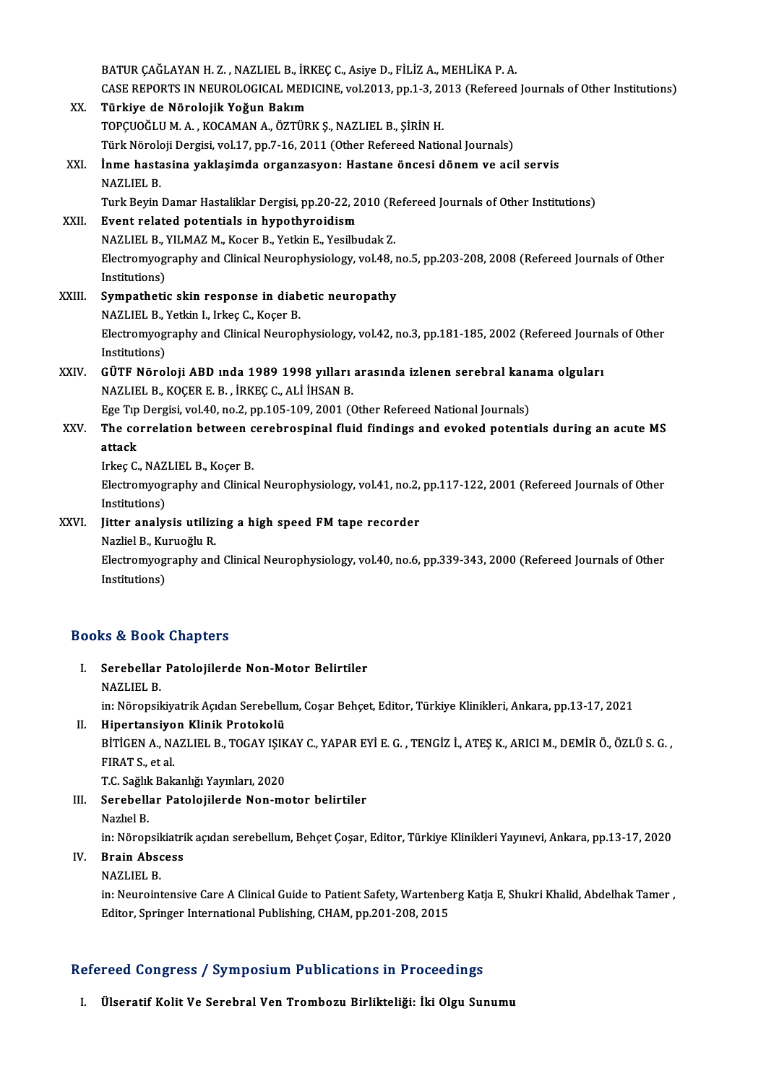BATUR ÇAĞLAYAN H.Z., NAZLIEL B., İRKEÇ C., Asiye D., FİLİZ A., MEHLİKA P.A. BATUR ÇAĞLAYAN H. Z. , NAZLIEL B., İRKEÇ C., Asiye D., FİLİZ A., MEHLİKA P. A.<br>CASE REPORTS IN NEUROLOGICAL MEDICINE, vol.2013, pp.1-3, 2013 (Refereed Journals of Other Institutions)<br>Türkiye de Nörelejik Yeğun Bekım XX. Türkiye de Nörolojik Yoğun Bakım CASE REPORTS IN NEUROLOGICAL MEDICINE, vol.2013, pp.1-3, 20<br>Türkiye de Nörolojik Yoğun Bakım<br>TOPÇUOĞLU M. A. , KOCAMAN A., ÖZTÜRK Ş., NAZLIEL B., ŞİRİN H.<br>Türk Nöroloji Dergisi vol.17, pp.7, 16, 2011. (Other Refereed Natio Türkiye de Nörolojik Yoğun Bakım<br>TOPÇUOĞLU M. A. , KOCAMAN A., ÖZTÜRK Ş., NAZLIEL B., ŞİRİN H.<br>Türk Nöroloji Dergisi, vol.17, pp.7-16, 2011 (Other Refereed National Journals)<br>İnme bastasina yaklasımda organgasyonı Hastane XXI. İnme hastasina yaklaşimda organzasyon: Hastane öncesi dönem ve acil servis<br>NAZLIEL B. Türk Nörol<mark>l</mark><br>**İnme hasta**<br>NAZLIEL B.<br>Turk Povin İnme hastasina yaklaşimda organzasyon: Hastane öncesi dönem ve acil servis<br>NAZLIEL B.<br>Turk Beyin Damar Hastaliklar Dergisi, pp.20-22, 2010 (Refereed Journals of Other Institutions)<br>Event related petentials in hynothyreidis NAZLIEL B.<br>Turk Beyin Damar Hastaliklar Dergisi, pp.20-22, 2<br>XXII. Event related potentials in hypothyroidism Turk Beyin Damar Hastaliklar Dergisi, pp.20-22, 2010 (R)<br>Event related potentials in hypothyroidism<br>NAZLIEL B., YILMAZ M., Kocer B., Yetkin E., Yesilbudak Z.<br>Electromycznachy and Clinical Naurophysiology, yol.49 Event related potentials in hypothyroidism<br>NAZLIEL B., YILMAZ M., Kocer B., Yetkin E., Yesilbudak Z.<br>Electromyography and Clinical Neurophysiology, vol.48, no.5, pp.203-208, 2008 (Refereed Journals of Other<br>Institutions) NAZLIEL B., **I**<br>Electromyogi<br>Institutions)<br>Sumpathati Electromyography and Clinical Neurophysiology, vol.48, r<br>Institutions)<br>XXIII. Sympathetic skin response in diabetic neuropathy<br>NAZI IEL P. Vetkin L. Inkes C. Keser P. Institutions)<br>Sympathetic skin response in diab<br>NAZLIEL B., Yetkin I., Irkeç C., Koçer B.<br>Electromycarenhy and Clinical Nauron Sympathetic skin response in diabetic neuropathy<br>NAZLIEL B., Yetkin I., Irkeç C., Koçer B.<br>Electromyography and Clinical Neurophysiology, vol.42, no.3, pp.181-185, 2002 (Refereed Journals of Other<br>Institutions) NAZLIEL B., '<br>Electromyog<br>Institutions)<br>CÜTE Nõrel Electromyography and Clinical Neurophysiology, vol.42, no.3, pp.181-185, 2002 (Refereed Journal<br>Institutions)<br>XXIV. GÜTF Nöroloji ABD ında 1989 1998 yılları arasında izlenen serebral kanama olguları<br>NAZUELE KOCERE B. İRKEC Institutions)<br>GÜTF Nöroloji ABD ında 1989 1998 yılları<br>NAZLIEL B., KOÇER E. B. , İRKEÇ C., ALİ İHSAN B.<br>Ese Tıp Dersisi vel 40 no 2 np 105 100 2001 (( GÜTF Nöroloji ABD ında 1989 1998 yılları arasında izlenen serebral kan:<br>NAZLIEL B., KOÇER E. B. , İRKEÇ C., ALİ İHSAN B.<br>Ege Tıp Dergisi, vol.40, no.2, pp.105-109, 2001 (Other Refereed National Journals)<br>The servelation be NAZLIEL B., KOÇER E. B. , İRKEÇ C., ALİ İHSAN B.<br>Ege Tıp Dergisi, vol.40, no.2, pp.105-109, 2001 (Other Refereed National Journals)<br>XXV. The correlation between cerebrospinal fluid findings and evoked potentials during Ege Tip<br>The co<br>attack<br>Irkes C The correlation between c<br>attack<br>Irkeç C., NAZLIEL B., Koçer B.<br>Electromyography and Clinics attack<br>Irkeç C., NAZLIEL B., Koçer B.<br>Electromyography and Clinical Neurophysiology, vol.41, no.2, pp.117-122, 2001 (Refereed Journals of Other<br>Institutions) Irkeç C., NAZ<br>Electromyog<br>Institutions)<br>Iitter analy Electromyography and Clinical Neurophysiology, vol.41, no.2,<br>Institutions)<br>XXVI. Jitter analysis utilizing a high speed FM tape recorder<br>Naglial B. Kurueğlu B. Institutions)<br>Jitter analysis utilizi<br>Nazliel B., Kuruoğlu R.<br>Electromyegranby and Electromyography and Clinical Neurophysiology, vol.40, no.6, pp.339-343, 2000 (Refereed Journals of Other Institutions) Nazliel B., Kuruoğlu R.

### Books&Book Chapters

- ooks & Book Chapters<br>I. Serebellar Patolojilerde Non-Motor Belirtiler<br>NAZUELP se & Book<br>Serebellar<br>NAZLIEL B.<br>in: Nëropsil Serebellar Patolojilerde Non-Motor Belirtiler<br>NAZLIEL B.<br>in: Nöropsikiyatrik Açıdan Serebellum, Coşar Behçet, Editor, Türkiye Klinikleri, Ankara, pp.13-17, 2021<br>Hinertansiyan Klinik Pratolsolü NAZLIEL B.<br>in: Nöropsikiyatrik Açıdan Serebellu<br>II. Hipertansiyon Klinik Protokolü<br>PitiCEN A. NAZLIEL B. TOCAY ISIK
- in: Nöropsikiyatrik Açıdan Serebellum, Coşar Behçet, Editor, Türkiye Klinikleri, Ankara, pp.13-17, 2021<br>Hipertansiyon Klinik Protokolü<br>BİTİGEN A., NAZLIEL B., TOGAY IŞIKAY C., YAPAR EYİ E. G. , TENGİZ İ., ATEŞ K., ARICI M. II. Hipertansiyon Klinik Protokolü<br>BİTİGEN A., NAZLIEL B., TOGAY IŞIKAY C., YAPAR EYİ E. G. , TENGİZ İ., ATEŞ K., ARICI M., DEMİR Ö., ÖZLÜ S. G. ,<br>FIRAT S., et al. BİTİGEN A., NAZLIEL B., TOGAY IŞIK<br>FIRAT S., et al.<br>T.C. Sağlık Bakanlığı Yayınları, 2020<br>Saraballar Batalajilarda Nan me
- III. Serebellar Patolojilerde Non-motor belirtiler<br>Nazlıel B. T.C. Sağlık<br><mark>Serebell</mark>i<br>Nazlıel B.<br>in: Nöron Serebellar Patolojilerde Non-motor belirtiler<br>Nazlıel B.<br>in: Nöropsikiatrik açıdan serebellum, Behçet Çoşar, Editor, Türkiye Klinikleri Yayınevi, Ankara, pp.13-17, 2020 in: Nöropsi<mark>l</mark><br>Brain Abso<br>NAZLIEL B.<br>in: Neuroint
- IV. Brain Abscess
	-

Brain Abscess<br>NAZLIEL B.<br>in: Neurointensive Care A Clinical Guide to Patient Safety, Wartenberg Katja E, Shukri Khalid, Abdelhak Tamer ,<br>Editer Springer International Publishing CHAM np 201,209, 2015 NAZLIEL B.<br>in: Neurointensive Care A Clinical Guide to Patient Safety, Wartenbe<br>Editor, Springer International Publishing, CHAM, pp.201-208, 2015

# Editor, Springer International Publishing, CHAM, pp.201-208, 2015<br>Refereed Congress / Symposium Publications in Proceedings

I. Ülseratif Kolit Ve Serebral Ven Trombozu Birlikteliği: İki Olgu Sunumu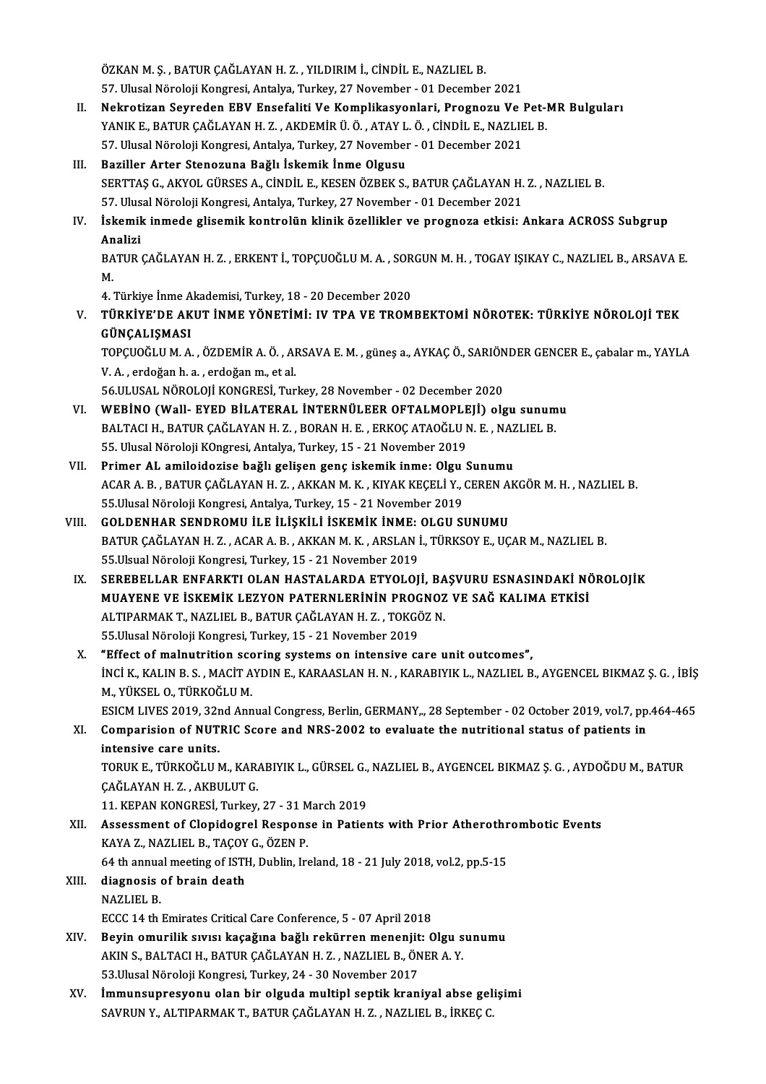ÖZKAN M.Ş., BATUR ÇAĞLAYAN H.Z., YILDIRIM İ., CİNDİL E., NAZLIEL B. ÖZKAN M. Ş. , BATUR ÇAĞLAYAN H. Z. , YILDIRIM İ., CİNDİL E., NAZLIEL B.<br>57. Ulusal Nöroloji Kongresi, Antalya, Turkey, 27 November - 01 December 2021<br>Neknatiran Sayradan EBV Ensefeliti Ve Kamplikasyanları, Bragnaru Ve l

- ÖZKAN M. Ş. , BATUR ÇAĞLAYAN H. Z. , YILDIRIM İ., CİNDİL E., NAZLIEL B.<br>57. Ulusal Nöroloji Kongresi, Antalya, Turkey, 27 November 01 December 2021<br>II. Nekrotizan Seyreden EBV Ensefaliti Ve Komplikasyonları, Prognozu Ve 57. Ulusal Nöroloji Kongresi, Antalya, Turkey, 27 November - 01 December 2021<br>Nekrotizan Seyreden EBV Ensefaliti Ve Komplikasyonlari, Prognozu Ve Pet-l<br>YANIK E., BATUR ÇAĞLAYAN H. Z. , AKDEMİR Ü. Ö. , ATAY L. Ö. , CİNDİL E Nekrotizan Seyreden EBV Ensefaliti Ve Komplikasyonlari, Prognozu Ve l<br>YANIK E., BATUR ÇAĞLAYAN H. Z. , AKDEMİR Ü. Ö. , ATAY L. Ö. , CİNDİL E., NAZLIE<br>57. Ulusal Nöroloji Kongresi, Antalya, Turkey, 27 November - 01 December YANIK E., BATUR ÇAĞLAYAN H. Z. , AKDEMİR Ü. Ö. , ATAY L. Ö. , CİNDİL E., NAZLIEL B.<br>57. Ulusal Nöroloji Kongresi, Antalya, Turkey, 27 November - 01 December 2021<br>III. Baziller Arter Stenozuna Bağlı İskemik İnme Olgusu
- 57. Ulusal Nöroloji Kongresi, Antalya, Turkey, 27 November 01 December 2021<br>Baziller Arter Stenozuna Bağlı İskemik İnme Olgusu<br>SERTTAŞ G., AKYOL GÜRSES A., CİNDİL E., KESEN ÖZBEK S., BATUR ÇAĞLAYAN H. Z. , NAZLIEL B.<br>57. Baziller Arter Stenozuna Bağlı İskemik İnme Olgusu<br>SERTTAŞ G., AKYOL GÜRSES A., CİNDİL E., KESEN ÖZBEK S., BATUR ÇAĞLAYAN H.<br>57. Ulusal Nöroloji Kongresi, Antalya, Turkey, 27 November - 01 December 2021<br>İskemik inmede glis SERTTAŞ G., AKYOL GÜRSES A., CİNDİL E., KESEN ÖZBEK S., BATUR ÇAĞLAYAN H. Z. , NAZLIEL B.<br>57. Ulusal Nöroloji Kongresi, Antalya, Turkey, 27 November - 01 December 2021<br>IV. İskemik inmede glisemik kontrolün klinik özellikle

## 57. Ulus<br>İskemil<br>Analizi<br>PATIB İskemik inmede glisemik kontrolün klinik özellikler ve prognoza etkisi: Ankara ACROSS Subgrup<br>Analizi<br>BATUR ÇAĞLAYAN H. Z. , ERKENT İ., TOPÇUOĞLU M. A. , SORGUN M. H. , TOGAY IŞIKAY C., NAZLIEL B., ARSAVA E.<br>M

An<br>BA<br>M BATUR ÇAĞLAYAN H. Z. , ERKENT İ., TOPÇUOĞLU M. A. , SOR<br>M.<br>4. Türkiye İnme Akademisi, Turkey, 18 - 20 December 2020<br>Türkiye'de Akut İnme yönetimi, IV TRA VE TROM

M.<br>4. Türkiye İnme Akademisi, Turkey, 18 - 20 December 2020<br>V. – TÜRKİYE'DE AKUT İNME YÖNETİMİ: IV TPA VE TROMBEKTOMİ NÖROTEK: TÜRKİYE NÖROLOJİ TEK<br>GÜNCALISMASI 4. Türkiye İnme A<br><mark>TÜRKİYE'DE AK</mark><br>GÜNÇALIŞMASI<br>TOPCUOČI ILM A TÜRKİYE'DE AKUT İNME YÖNETİMİ: IV TPA VE TROMBEKTOMİ NÖROTEK: TÜRKİYE NÖROLOJİ TEK<br>GÜNÇALIŞMASI<br>TOPÇUOĞLU M. A. , ÖZDEMİR A. Ö. , ARSAVA E. M. , güneş a., AYKAÇ Ö., SARIÖNDER GENCER E., çabalar m., YAYLA<br>V. A., erdeğen b.

GÜNÇALIŞMASI<br>TOPÇUOĞLU M. A. , ÖZDEMİR A. Ö. , AI<br>V. A. , erdoğan h. a. , erdoğan m., et al.<br>56 ULUSAL NÖROLOU KONGRESİ Tur TOPÇUOĞLU M. A. , ÖZDEMİR A. Ö. , ARSAVA E. M. , güneş a., AYKAÇ Ö., SARIÖN<br>V. A. , erdoğan h. a. , erdoğan m., et al.<br>56.ULUSAL NÖROLOJİ KONGRESİ, Turkey, 28 November - 02 December 2020<br>WERİNO (Wall, EVED BİLATERAL İNTERN V. A. , erdoğan h. a. , erdoğan m., et al.<br>56.ULUSAL NÖROLOJİ KONGRESİ, Turkey, 28 November - 02 December 2020<br>VI. WEBİNO (Wall- EYED BİLATERAL İNTERNÜLEER OFTALMOPLEJİ) olgu sunumu

- 56.ULUSAL NÖROLOJİ KONGRESİ, Turkey, 28 November 02 December 2020<br>WEBİNO (Wall- EYED BİLATERAL İNTERNÜLEER OFTALMOPLEJİ) olgu sunum<br>BALTACI H., BATUR ÇAĞLAYAN H. Z. , BORAN H. E. , ERKOÇ ATAOĞLU N. E. , NAZLIEL B.<br>EE Ulu WEBİNO (Wall- EYED BİLATERAL İNTERNÜLEER OFTALMOPLE<br>BALTACI H., BATUR ÇAĞLAYAN H. Z. , BORAN H. E. , ERKOÇ ATAOĞLU I<br>55. Ulusal Nöroloji KOngresi, Antalya, Turkey, 15 - 21 November 2019<br>Primer AL amileiderise bağlı gelişen BALTACI H., BATUR ÇAĞLAYAN H. Z., BORAN H. E., ERKOÇ ATAOĞLU N. E., NAZ<br>55. Ulusal Nöroloji KOngresi, Antalya, Turkey, 15 - 21 November 2019<br>VII. Primer AL amiloidozise bağlı gelişen genç iskemik inme: Olgu Sunumu
- 55. Ulusal Nöroloji K0ngresi, Antalya, Turkey, 15 21 November 2019<br><mark>Primer AL amiloidozise bağlı gelişen genç iskemik inme: Olgu Sunumu</mark><br>ACAR A. B. , BATUR ÇAĞLAYAN H. Z. , AKKAN M. K. , KIYAK KEÇELİ Y., CEREN AKGÖR M. H Primer AL amiloidozise bağlı gelişen genç iskemik inme: Olgu<br>ACAR A. B., BATUR ÇAĞLAYAN H. Z., AKKAN M. K., KIYAK KEÇELİ Y.,<br>55.Ulusal Nöroloji Kongresi, Antalya, Turkey, 15 - 21 November 2019<br>COLDENHAR SENDROMIL İLE İLİSK ACAR A. B., BATUR ÇAĞLAYAN H. Z., AKKAN M. K., KIYAK KEÇELİ Y., CEREN A<br>55.Ulusal Nöroloji Kongresi, Antalya, Turkey, 15 - 21 November 2019<br>VIII. GOLDENHAR SENDROMU İLE İLİŞKİLİ İSKEMİK İNME: OLGU SUNUMU<br>PATUR CAĞLAYAN H.
- 55.Ulusal Nöroloji Kongresi, Antalya, Turkey, 15 21 November 2019<br>GOLDENHAR SENDROMU İLE İLİŞKİLİ İSKEMİK İNME: OLGU SUNUMU<br>BATUR ÇAĞLAYAN H. Z. , ACAR A. B. , AKKAN M. K. , ARSLAN İ., TÜRKSOY E., UÇAR M., NAZLIEL B.<br>55 GOLDENHAR SENDROMU İLE İLİŞKİLİ İSKEMİK İNME:<br>BATUR ÇAĞLAYAN H. Z. , ACAR A. B. , AKKAN M. K. , ARSLAN İ<br>55.Ulsual Nöroloji Kongresi, Turkey, 15 - 21 November 2019<br>SERERELLAR ENEARKTLOLAN HASTALARDA ETYOLOL 55.Ulsual Nöroloji Kongresi, Turkey, 15 - 21 November 2019<br>IX. SEREBELLAR ENFARKTI OLAN HASTALARDA ETYOLOJİ, BAŞVURU ESNASINDAKİ NÖROLOJİK
- 55.Ulsual Nöroloji Kongresi, Turkey, 15 21 November 2019<br>SEREBELLAR ENFARKTI OLAN HASTALARDA ETYOLOJİ, BAŞVURU ESNASINDAKİ NÖ<br>MUAYENE VE İSKEMİK LEZYON PATERNLERİNİN PROGNOZ VE SAĞ KALIMA ETKİSİ<br>ALTIBARMAK T. NAZLIEL B. SEREBELLAR ENFARKTI OLAN HASTALARDA ETYOLOJİ, BA<br>MUAYENE VE İSKEMİK LEZYON PATERNLERİNİN PROGNOZ<br>ALTIPARMAK T., NAZLIEL B., BATUR ÇAĞLAYAN H. Z. , TOKGÖZ N.<br>EE Illusal Nöroloji Kongresi Turkey, 15 – 21 November 2019 MUAYENE VE İSKEMİK LEZYON PATERNLERİNİN PROG<br>ALTIPARMAK T., NAZLIEL B., BATUR ÇAĞLAYAN H. Z. , TOKGİ<br>55.Ulusal Nöroloji Kongresi, Turkey, 15 - 21 November 2019<br>"Effect of malnutuition seoning systems on intensive se ALTIPARMAK T., NAZLIEL B., BATUR ÇAĞLAYAN H. Z. , TOKGÖZ N.<br>55.Ulusal Nöroloji Kongresi, Turkey, 15 - 21 November 2019<br>X. "Effect of malnutrition scoring systems on intensive care unit outcomes",<br>inci v. v. U.N. B. S. MACI
- 55.Ulusal Nöroloji Kongresi, Turkey, 15 21 November 2019<br>"Effect of malnutrition scoring systems on intensive care unit outcomes",<br>İNCİ K., KALIN B. S. , MACİT AYDIN E., KARAASLAN H. N. , KARABIYIK L., NAZLIEL B., AYGENC "Effect of malnutrition scondiction<br>INCI K., KALIN B. S. , MACIT A<br>M., YÜKSEL O., TÜRKOĞLU M.<br>ESICM LIVES 2010, 22nd Ann INCI K., KALIN B. S. , MACIT AYDIN E., KARAASLAN H. N. , KARABIYIK L., NAZLIEL B., AYGENCEL BIKMAZ Ş. G. , İBİŞ<br>M., YÜKSEL O., TÜRKOĞLU M.<br>ESICM LIVES 2019, 32nd Annual Congress, Berlin, GERMANY.., 28 September - 02 Octobe M., YÜKSEL O., TÜRKOĞLU M.<br>ESICM LIVES 2019, 32nd Annual Congress, Berlin, GERMANY,., 28 September - 02 October 2019, vol.7, pp<br>XI. Comparision of NUTRIC Score and NRS-2002 to evaluate the nutritional status of patients in

ESICM LIVES 2019, 32r<br>Comparision of NUT<br>intensive care units.<br>TOBUK E. TÜRKOĞU UN Comparision of NUTRIC Score and NRS-2002 to evaluate the nutritional status of patients in<br>intensive care units.<br>TORUK E., TÜRKOĞLU M., KARABIYIK L., GÜRSEL G., NAZLIEL B., AYGENCEL BIKMAZ Ş. G. , AYDOĞDU M., BATUR<br>CAĞLAYA

intensive care units.<br>TORUK E., TÜRKOĞLU M., KAR.<br>ÇAĞLAYAN H. Z. , AKBULUT G.<br>11. KERAN KONCRESİ. Turkov TORUK E., TÜRKOĞLU M., KARABIYIK L., GÜRSEL G.,<br>ÇAĞLAYAN H. Z. , AKBULUT G.<br>11. KEPAN KONGRESİ, Turkey, 27 - 31 March 2019<br>Assassmant of Clanidagral Baspansa in Batiar

- CAĞLAYAN H. Z. , AKBULUT G.<br>11. KEPAN KONGRESİ, Turkey, 27 31 March 2019<br>XII. Assessment of Clopidogrel Response in Patients with Prior Atherothrombotic Events<br>KAYA 7. NAZLIELE. TACOV C. ÖZEN B. 11. KEPAN KONGRESİ, Turkey, 27 - 31 M<br>Assessment of Clopidogrel Respons<br>KAYA Z., NAZLIEL B., TAÇOY G., ÖZEN P. Assessment of Clopidogrel Response in Patients with Prior Atherothr<br>KAYA Z., NAZLIEL B., TAÇOY G., ÖZEN P.<br>64 th annual meeting of ISTH, Dublin, Ireland, 18 - 21 July 2018, vol.2, pp.5-15<br>diagnosis of brain doath 64 th annual meeting of ISTH, Dublin, Ireland, 18 - 21 July 2018, vol.2, pp.5-15
- KAYA Z., NAZLIEL B., TAÇOY G., ÖZEN P.<br>64 th annual meeting of ISTH, Dublin, Ire<br>XIII. diagnosis of brain death<br>NAZLIEL B. ECCC 14 th Emirates Critical Care Conference, 5 - 07 April 2018
- XIV. Beyin omurilik sıvısı kaçağına bağlı rekürrenmenenjit: Olgu sunumu ECCC 14 th Emirates Critical Care Conference, 5 - 07 April 2018<br>Beyin omurilik sıvısı kaçağına bağlı rekürren menenjit: Olgu s<br>AKIN S., BALTACI H., BATUR ÇAĞLAYAN H. Z. , NAZLIEL B., ÖNER A. Y.<br>52 Ulusal Nöroleji Kongresi Beyin omurilik sıvısı kaçağına bağlı rekürren menenjit<br>AKIN S., BALTACI H., BATUR ÇAĞLAYAN H. Z. , NAZLIEL B., ÖN<br>53.Ulusal Nöroloji Kongresi, Turkey, 24 - 30 November 2017<br>İmmunaynnasıyonu olan bir olayda multinl santik k
- XV. İmmunsupresyonu olan bir olgudamultipl septik kraniyal abse gelişimi SAVRUN Y., ALTIPARMAK T., BATUR ÇAĞLAYAN H. Z., NAZLIEL B., İRKEÇ C.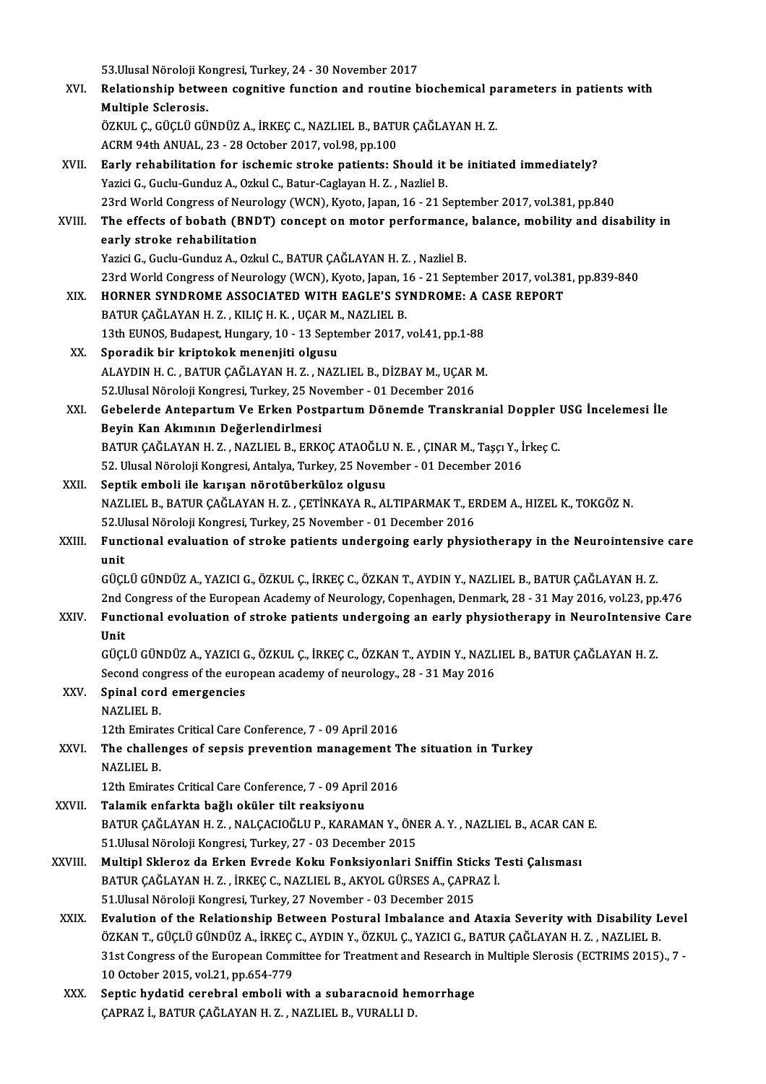53.Ulusal Nöroloji Kongresi, Turkey, 24 - 30 November 2017<br>Pelationskin botween segnitive function and reutine b

- 53.Ulusal Nöroloji Kongresi, Turkey, 24 30 November 2017<br>XVI. Relationship between cognitive function and routine biochemical parameters in patients with 53.Ulusal Nöroloji Ko<br>Relationship betwe<br>Multiple Sclerosis.<br>ÖZKUL G GÜGLÜ CÜ Relationship between cognitive function and routine biochemical pa<br>Multiple Sclerosis.<br>ÖZKUL Ç., GÜÇLÜ GÜNDÜZ A., İRKEÇ C., NAZLIEL B., BATUR ÇAĞLAYAN H. Z.<br>ACPM 94th ANUAL 22 - 28 Ostabar 2917 yal 98 nn 199 Multiple Sclerosis.<br>ÖZKUL Ç., GÜÇLÜ GÜNDÜZ A., İRKEÇ C., NAZLIEL B., BATUR ÇAĞLAYAN H. Z.<br>ACRM 94th ANUAL, 23 - 28 October 2017, vol.98, pp.100
- XVII. Early rehabilitation for ischemic stroke patients: Should it be initiated immediately? Yazici G., Guclu-Gunduz A., Ozkul C., Batur-Caglayan H. Z., Nazliel B. Early rehabilitation for ischemic stroke patients: Should it be initiated immediately?<br>Yazici G., Guclu-Gunduz A., Ozkul C., Batur-Caglayan H. Z. , Nazliel B.<br>23rd World Congress of Neurology (WCN), Kyoto, Japan, 16 - 21 S Yazici G., Guclu-Gunduz A., Ozkul C., Batur-Caglayan H. Z. , Nazliel B.<br>23rd World Congress of Neurology (WCN), Kyoto, Japan, 16 - 21 September 2017, vol.381, pp.840<br>XVIII. The effects of bobath (BNDT) concept on motor per
- 23rd World Congress of Neuro<br>The effects of bobath (BND<br>early stroke rehabilitation<br>Yarigi C. Cuclu Cundur A. Orlo The effects of bobath (BNDT) concept on motor performance,<br>early stroke rehabilitation<br>Yazici G., Guclu-Gunduz A., Ozkul C., BATUR ÇAĞLAYAN H. Z. , Nazliel B.<br>22rd World Congress of Neurology (WCN), Kyoto Japan, 16 , 21 Se
- early stroke rehabilitation<br>Yazici G., Guclu-Gunduz A., Ozkul C., BATUR ÇAĞLAYAN H. Z. , Nazliel B.<br>23rd World Congress of Neurology (WCN), Kyoto, Japan, 16 21 September 2017, vol.381, pp.839-840<br>HORNER SYNDROME ASSOCIAT Yazici G., Guclu-Gunduz A., Ozkul C., BATUR ÇAĞLAYAN H. Z. , Nazliel B.<br>23rd World Congress of Neurology (WCN), Kyoto, Japan, 16 - 21 September 2017, vol.38<br>XIX. HORNER SYNDROME ASSOCIATED WITH EAGLE'S SYNDROME: A CASE REP
- 23rd World Congress of Neurology (WCN), Kyoto, Japan, 1<br>HORNER SYNDROME ASSOCIATED WITH EAGLE'S SY<br>BATUR ÇAĞLAYAN H. Z. , KILIÇ H. K. , UÇAR M., NAZLIEL B.<br>12th EUNOS Budapest Hungary, 10 , 12 Santamber 2017 ; HORNER SYNDROME ASSOCIATED WITH EAGLE'S SYNDROME: A CASE REPORT<br>BATUR ÇAĞLAYAN H. Z., KILIÇ H. K., UÇAR M., NAZLIEL B.<br>13th EUNOS, Budapest, Hungary, 10 - 13 September 2017, vol.41, pp.1-88<br>Sporadik bir kriptokok menenjiti BATUR ÇAĞLAYAN H. Z., KILIÇ H. K., UÇAR M.<br>13th EUNOS, Budapest, Hungary, 10 - 13 Septe<br>XX. Sporadik bir kriptokok menenjiti olgusu<br>ALAYDIN H. G. BATUR GAĞLAYAN H. Z. NAZ.
- 13th EUNOS, Budapest, Hungary, 10 13 September 2017, vol.41, pp.1-88<br>Sporadik bir kriptokok menenjiti olgusu<br>ALAYDIN H. C. , BATUR ÇAĞLAYAN H. Z. , NAZLIEL B., DİZBAY M., UÇAR M.<br>52 Ulusal Nörolaji Karsresi Turkey, 25 Na Sporadik bir kriptokok menenjiti olgusu<br>ALAYDIN H. C. , BATUR ÇAĞLAYAN H. Z. , NAZLIEL B., DİZBAY M., UÇAR I<br>52.Ulusal Nöroloji Kongresi, Turkey, 25 November - 01 December 2016<br>Cabalarda Antanantum Ve Erkan Bastnantum Döna ALAYDIN H. C. , BATUR ÇAĞLAYAN H. Z. , NAZLIEL B., DİZBAY M., UÇAR M.<br>52.Ulusal Nöroloji Kongresi, Turkey, 25 November - 01 December 2016<br>XXI. Gebelerde Antepartum Ve Erken Postpartum Dönemde Transkranial Doppler USG İ
- 52.Ulusal Nöroloji Kongresi, Turkey, 25 No<br>Gebelerde Antepartum Ve Erken Post<br>Beyin Kan Akımının Değerlendirlmesi<br>BATUP CAČLAYAN H.Z., NAZLEL B. ERK Gebelerde Antepartum Ve Erken Postpartum Dönemde Transkranial Doppler<br>Beyin Kan Akımının Değerlendirlmesi<br>BATUR ÇAĞLAYAN H. Z. , NAZLIEL B., ERKOÇ ATAOĞLU N. E. , ÇINAR M., Taşçı Y., İrkeç C.<br>52 Hlusal Nörolaji Kangresi, A Beyin Kan Akımının Değerlendirlmesi<br>BATUR ÇAĞLAYAN H. Z. , NAZLIEL B., ERKOÇ ATAOĞLU N. E. , ÇINAR M., Taşçı Y., İrkeç C.<br>52. Ulusal Nöroloji Kongresi, Antalya, Turkey, 25 November - 01 December 2016
- XXII. Septik emboli ile karışan nörotüberküloz olgusu 52. Ulusal Nöroloji Kongresi, Antalya, Turkey, 25 November - 01 December 2016<br>S<mark>eptik emboli ile karışan nörotüberküloz olgusu</mark><br>NAZLIEL B., BATUR ÇAĞLAYAN H. Z. , ÇETİNKAYA R., ALTIPARMAK T., ERDEM A., HIZEL K., TOKGÖZ N.<br> Septik emboli ile karışan nörotüberküloz olgusu<br>NAZLIEL B., BATUR ÇAĞLAYAN H. Z. , ÇETİNKAYA R., ALTIPARMAK T., EI<br>52.Ulusal Nöroloji Kongresi, Turkey, 25 November - 01 December 2016<br>Eunstianal evaluation of strake nationt 52. Ulusal Nöroloji Kongresi, Turkey, 25 November - 01 December 2016
- XXIII. Functional evaluation of stroke patients undergoing early physiotherapy in the Neurointensive care<br>unit

GÜÇLÜGÜNDÜZA.,YAZICIG.,ÖZKUL Ç., İRKEÇC.,ÖZKANT.,AYDINY.,NAZLIELB.,BATURÇAĞLAYANH.Z. unit<br>GÜÇLÜ GÜNDÜZ A., YAZICI G., ÖZKUL Ç., İRKEÇ C., ÖZKAN T., AYDIN Y., NAZLIEL B., BATUR ÇAĞLAYAN H. Z.<br>2nd Congress of the European Academy of Neurology, Copenhagen, Denmark, 28 - 31 May 2016, vol.23, pp.476<br>Eunstianal GÜÇLÜ GÜNDÜZ A., YAZICI G., ÖZKUL Ç., İRKEÇ C., ÖZKAN T., AYDIN Y., NAZLIEL B., BATUR ÇAĞLAYAN H. Z.<br>2nd Congress of the European Academy of Neurology, Copenhagen, Denmark, 28 - 31 May 2016, vol.23, pp.476<br>XXIV. Functi

2nd (<br>Func<br>Unit<br>Cücu Functional evoluation of stroke patients undergoing an early physiotherapy in NeuroIntensive<br>Unit<br>GÜÇLÜ GÜNDÜZ A., YAZICI G., ÖZKUL Ç., İRKEÇ C., ÖZKAN T., AYDIN Y., NAZLIEL B., BATUR ÇAĞLAYAN H. Z.<br>Sesand sangress of the

Unit<br>GÜÇLÜ GÜNDÜZ A., YAZICI G., ÖZKUL Ç., İRKEÇ C., ÖZKAN T., AYDIN Y., NAZL<br>Second congress of the european academy of neurology., 28 - 31 May 2016<br>Sninal sord-omargangias Second congress of the european academy of neurology, 28 - 31 May 2016

XXV. Spinal cord emergencies Spinal cord emergencies<br>NAZLIEL B.<br>12th Emirates Critical Care Conference, 7 - 09 April 2016<br>The challenges of sensis prevention management T

NAZLIEL B.<br>12th Emirates Critical Care Conference, 7 - 09 April 2016<br>XXVI. The challenges of sepsis prevention management The situation in Turkey<br>NAZLIEL B 12th Emirat<br>The challe:<br>NAZLIEL B.<br>12th Emirat The challenges of sepsis prevention management T<br>NAZLIEL B.<br>12th Emirates Critical Care Conference, 7 - 09 April 2016<br>Talamik onfarkta bağlı oküler tilt reaksiyeny NAZLIEL B.<br>12th Emirates Critical Care Conference, 7 - 09 April 2016<br>XXVII. Talamik enfarkta bağlı oküler tilt reaksiyonu

12th Emirates Critical Care Conference, 7 - 09 April 2016<br>Talamik enfarkta bağlı oküler tilt reaksiyonu<br>BATUR ÇAĞLAYAN H. Z. , NALÇACIOĞLU P., KARAMAN Y., ÖNER A. Y. , NAZLIEL B., ACAR CAN E.<br>51 Hlusal Nörolaji Kongresi Tu Talamik enfarkta bağlı oküler tilt reaksiyonu<br>BATUR ÇAĞLAYAN H. Z. , NALÇACIOĞLU P., KARAMAN Y., ÖNI<br>51.Ulusal Nöroloji Kongresi, Turkey, 27 - 03 December 2015<br>Multinl Sklaneg de Erken Eurode Kaku Fenksiyonleri S BATUR ÇAĞLAYAN H. Z. , NALÇACIOĞLU P., KARAMAN Y., ÖNER A. Y. , NAZLIEL B., ACAR CAN<br>51.Ulusal Nöroloji Kongresi, Turkey, 27 - 03 December 2015<br>XXVIII. Multipl Skleroz da Erken Evrede Koku Fonksiyonlari Sniffin Sticks Test

- 51.Ulusal Nöroloji Kongresi, Turkey, 27 03 December 2015<br>Multipl Skleroz da Erken Evrede Koku Fonksiyonlari Sniffin Sticks T<br>BATUR ÇAĞLAYAN H. Z. , İRKEÇ C., NAZLIEL B., AKYOL GÜRSES A., ÇAPRAZ İ.<br>51 Hlusal Nöroloji Kong Multipl Skleroz da Erken Evrede Koku Fonksiyonlari Sniffin Stic<br>BATUR ÇAĞLAYAN H. Z. , İRKEÇ C., NAZLIEL B., AKYOL GÜRSES A., ÇAPR.<br>51.Ulusal Nöroloji Kongresi, Turkey, 27 November - 03 December 2015<br>Evalution of the Balat BATUR ÇAĞLAYAN H. Z. , İRKEÇ C., NAZLIEL B., AKYOL GÜRSES A., ÇAPRAZ İ.<br>51.Ulusal Nöroloji Kongresi, Turkey, 27 November - 03 December 2015<br>XXIX. Evalution of the Relationship Between Postural Imbalance and Ataxia Seve
- 51.Ulusal Nöroloji Kongresi, Turkey, 27 November 03 December 2015<br><mark>Evalution of the Relationship Between Postural Imbalance and Ataxia Severity with Disability L<br>ÖZKAN T., GÜÇLÜ GÜNDÜZ A., İRKEÇ C., AYDIN Y., ÖZKUL Ç., Y</mark> Evalution of the Relationship Between Postural Imbalance and Ataxia Severity with Disability Level<br>ÖZKAN T., GÜÇLÜ GÜNDÜZ A., İRKEÇ C., AYDIN Y., ÖZKUL Ç., YAZICI G., BATUR ÇAĞLAYAN H. Z. , NAZLIEL B.<br>31st Congress of the ÖZKAN T., GÜÇLÜ GÜNDÜZ A., İRKEÇ<br>31st Congress of the European Comm<br>10 October 2015, vol.21, pp.654-779<br>Sentis budatid senebral embeli ur 31st Congress of the European Committee for Treatment and Research in Multiple Slerosis (ECTRIMS 2015)., 7 -<br>10 October 2015, vol.21, pp.654-779<br>XXX. Septic hydatid cerebral emboli with a subaracnoid hemorrhage<br>CAPRAZ İ.,
- Septic hydatid cerebral emboli with a subaracnoid hemorrhage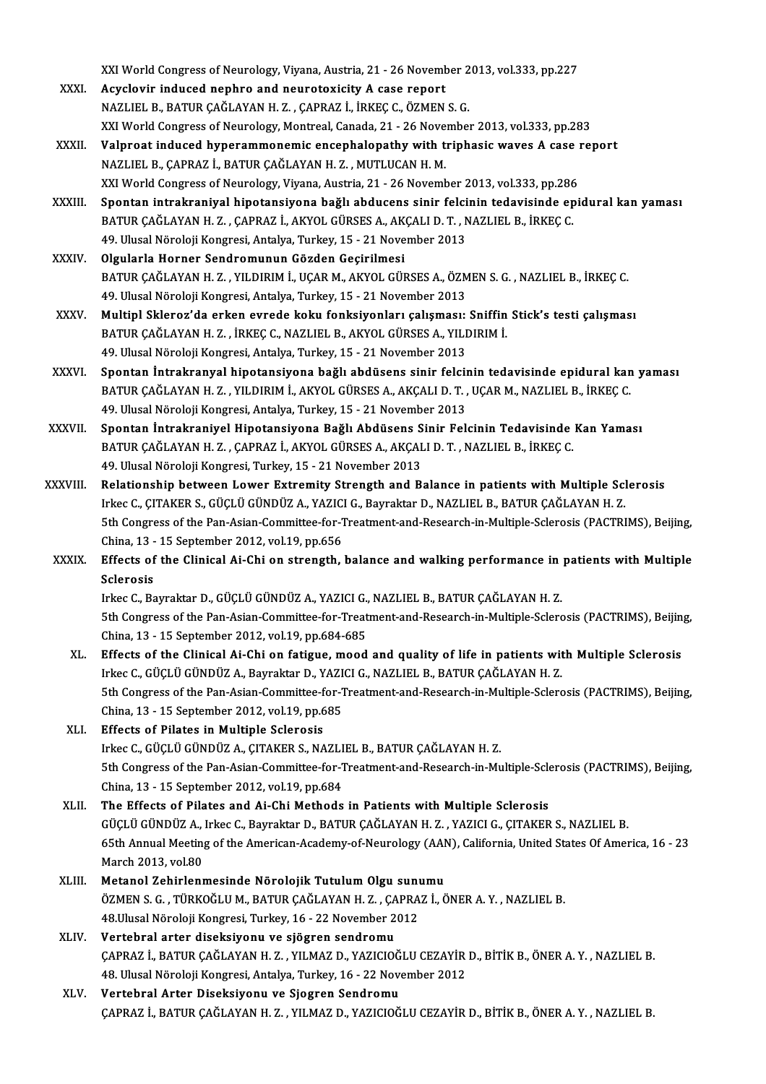XXI World Congress of Neurology, Viyana, Austria, 21 - 26 November 2013, vol.333, pp.227<br>Agyslovin indused perhne and pourotevisity A sees nopent

- XXI World Congress of Neurology, Viyana, Austria, 21 26 Novemb<br>XXXI. Acyclovir induced nephro and neurotoxicity A case report<br>NAZUELE B BATUR CAČLAVAN H Z CAPPAZ LIPKEC C ÖZMEN XXI World Congress of Neurology, Viyana, Austria, 21 - 26 November 2<br>Acyclovir induced nephro and neurotoxicity A case report<br>NAZLIEL B., BATUR ÇAĞLAYAN H. Z. , ÇAPRAZ İ., İRKEÇ C., ÖZMEN S. G.<br>XXI World Congress of Nourol Acyclovir induced nephro and neurotoxicity A case report<br>NAZLIEL B., BATUR ÇAĞLAYAN H. Z. , ÇAPRAZ İ., İRKEÇ C., ÖZMEN S. G.<br>XXI World Congress of Neurology, Montreal, Canada, 21 - 26 November 2013, vol.333, pp.283 NAZLIEL B., BATUR ÇAĞLAYAN H. Z. , ÇAPRAZ İ., İRKEÇ C., ÖZMEN S. G.<br>XXI World Congress of Neurology, Montreal, Canada, 21 - 26 November 2013, vol.333, pp.283<br>XXXII. Valproat induced hyperammonemic encephalopathy with t
- NAZLIEL B., ÇAPRAZ İ., BATUR ÇAĞLAYAN H. Z., MUTLUCAN H. M. Valproat induced hyperammonemic encephalopathy with triphasic waves A case i<br>NAZLIEL B., ÇAPRAZ İ., BATUR ÇAĞLAYAN H. Z. , MUTLUCAN H. M.<br>XXI World Congress of Neurology, Viyana, Austria, 21 - 26 November 2013, vol.333, pp
- XXXIII. Spontan intrakraniyal hipotansiyona bağlı abducens sinir felcinin tedavisinde epidural kan yaması XXI World Congress of Neurology, Viyana, Austria, 21 - 26 November 2013, vol.333, pp.286<br>Spontan intrakraniyal hipotansiyona bağlı abducens sinir felcinin tedavisinde ep<br>BATUR ÇAĞLAYAN H. Z. , ÇAPRAZ İ., AKYOL GÜRSES A., A BATUR CAĞLAYAN H. Z., CAPRAZ İ., AKYOL GÜRSES A., AKCALI D. T., NAZLIEL B., İRKEC C.
- XXXIV. Olgularla Horner Sendromunun Gözden Geçirilmesi 49. Ulusal Nöroloji Kongresi, Antalya, Turkey, 15 - 21 November 2013<br>Olgularla Horner Sendromunun Gözden Geçirilmesi<br>BATUR ÇAĞLAYAN H. Z. , YILDIRIM İ., UÇAR M., AKYOL GÜRSES A., ÖZMEN S. G. , NAZLIEL B., İRKEÇ C.<br>49. Ulus Olgularla Horner Sendromunun Gözden Geçirilmesi<br>BATUR ÇAĞLAYAN H. Z. , YILDIRIM İ., UÇAR M., AKYOL GÜRSES A., ÖZM<br>49. Ulusal Nöroloji Kongresi, Antalya, Turkey, 15 - 21 November 2013<br>Multinl Sklareg'de erken eurode kaku fe BATUR ÇAĞLAYAN H. Z. , YILDIRIM İ., UÇAR M., AKYOL GÜRSES A., ÖZMEN S. G. , NAZLIEL B., İRKEÇ C.<br>49. Ulusal Nöroloji Kongresi, Antalya, Turkey, 15 - 21 November 2013<br>XXXV. Multipl Skleroz'da erken evrede koku fonksiyonları
- 49. Ulusal Nöroloji Kongresi, Antalya, Turkey, 15 21 November 2013<br>Multipl Skleroz'da erken evrede koku fonksiyonları çalışması: Sniffin<br>BATUR ÇAĞLAYAN H. Z. , İRKEÇ C., NAZLIEL B., AKYOL GÜRSES A., YILDIRIM İ.<br>40 Ulusal BATUR ÇAĞLAYAN H. Z. , İRKEÇ C., NAZLIEL B., AKYOL GÜRSES A., YILDIRIM İ.<br>49. Ulusal Nöroloji Kongresi, Antalya, Turkey, 15 - 21 November 2013 BATUR ÇAĞLAYAN H. Z. , İRKEÇ C., NAZLIEL B., AKYOL GÜRSES A., YILDIRIM İ.<br>49. Ulusal Nöroloji Kongresi, Antalya, Turkey, 15 - 21 November 2013<br>XXXVI. Spontan İntrakranyal hipotansiyona bağlı abdüsens sinir felcinin tedavis
- 49. Ulusal Nöroloji Kongresi, Antalya, Turkey, 15 21 November 2013<br>Spontan İntrakranyal hipotansiyona bağlı abdüsens sinir felcinin tedavisinde epidural kan<br>BATUR ÇAĞLAYAN H. Z. , YILDIRIM İ., AKYOL GÜRSES A., AKÇALI D. BATUR ÇAĞLAYAN H. Z. , YILDIRIM İ., AKYOL GÜRSES A., AKÇALI D. T. , UÇAR M., NAZLIEL B., İRKEÇ C.<br>49. Ulusal Nöroloji Kongresi, Antalya, Turkey, 15 - 21 November 2013 BATUR ÇAĞLAYAN H. Z. , YILDIRIM İ., AKYOL GÜRSES A., AKÇALI D. T. , UÇAR M., NAZLIEL B., İRKEÇ C.<br>49. Ulusal Nöroloji Kongresi, Antalya, Turkey, 15 - 21 November 2013<br>XXXVII. Spontan İntrakraniyel Hipotansiyona Bağlı Abdüs
- 49. Ulusal Nöroloji Kongresi, Antalya, Turkey, 15 21 November 2013<br>Spontan İntrakraniyel Hipotansiyona Bağlı Abdüsens Sinir Felcinin Tedavisinde<br>BATUR ÇAĞLAYAN H. Z. , ÇAPRAZ İ., AKYOL GÜRSES A., AKÇALI D. T. , NAZLIEL B Spontan İntrakraniyel Hipotansiyona Bağlı Abdüsens S<br>BATUR ÇAĞLAYAN H. Z. , ÇAPRAZ İ., AKYOL GÜRSES A., AKÇAL<br>49. Ulusal Nöroloji Kongresi, Turkey, 15 - 21 November 2013<br>Belationshin batueen Leurer Extremity Strength and B BATUR ÇAĞLAYAN H. Z. , ÇAPRAZ İ., AKYOL GÜRSES A., AKÇALI D. T. , NAZLIEL B., İRKEÇ C.<br>49. Ulusal Nöroloji Kongresi, Turkey, 15 - 21 November 2013<br>XXXVIII. Relationship between Lower Extremity Strength and Balance in patie
- 49. Ulusal Nöroloji Kongresi, Turkey, 15 21 November 2013<br>Relationship between Lower Extremity Strength and Balance in patients with Multiple Scl<br>Irkec C., ÇITAKER S., GÜÇLÜ GÜNDÜZ A., YAZICI G., Bayraktar D., NAZLIEL B. Relationship between Lower Extremity Strength and Balance in patients with Multiple Sclerosis<br>Irkec C., ÇITAKER S., GÜÇLÜ GÜNDÜZ A., YAZICI G., Bayraktar D., NAZLIEL B., BATUR ÇAĞLAYAN H. Z.<br>5th Congress of the Pan-Asian-C Irkec C., ÇITAKER S., GÜÇLÜ GÜNDÜZ A., YAZICI G., Bayraktar D., NAZLIEL B., BATUR ÇAĞLAYAN H. Z.<br>5th Congress of the Pan-Asian-Committee-for-Treatment-and-Research-in-Multiple-Sclerosis (PACTRIMS), Beijing,<br>China, 13 - 15 5th Congress of the Pan-Asian-Committee-for-Treatment-and-Research-in-Multiple-Sclerosis (PACTRIMS), Beijing,<br>China, 13 - 15 September 2012, vol.19, pp.656<br>XXXIX. Effects of the Clinical Ai-Chi on strength, balance and wal
- China, 13 -<br>Effects of<br>Sclerosis<br>Irkes G. Be Effects of the Clinical Ai-Chi on strength, balance and walking performance in<br>Sclerosis<br>Irkec C., Bayraktar D., GÜÇLÜ GÜNDÜZ A., YAZICI G., NAZLIEL B., BATUR ÇAĞLAYAN H. Z.<br>Eth Congress of the Pap Asian Committee for Trea

Sclerosis<br>Irkec C., Bayraktar D., GÜÇLÜ GÜNDÜZ A., YAZICI G., NAZLIEL B., BATUR ÇAĞLAYAN H. Z.<br>5th Congress of the Pan-Asian-Committee-for-Treatment-and-Research-in-Multiple-Sclerosis (PACTRIMS), Beijing,<br>China, 13 - 15 Se Irkec C., Bayraktar D., GÜÇLÜ GÜNDÜZ A., YAZICI G., NAZLIEL B., BATUR ÇAĞLAYAN H. Z. 5th Congress of the Pan-Asian-Committee-for-Treatment-and-Research-in-Multiple-Sclerosis (PACTRIMS), Beijin<br>China, 13 - 15 September 2012, vol.19, pp.684-685<br>XL. Effects of the Clinical Ai-Chi on fatigue, mood and quality

- China, 13 15 September 2012, vol.19, pp.684-685<br>Effects of the Clinical Ai-Chi on fatigue, mood and quality of life in patients with<br>Irkec C., GÜÇLÜ GÜNDÜZ A., Bayraktar D., YAZICI G., NAZLIEL B., BATUR ÇAĞLAYAN H. Z.<br>Et Effects of the Clinical Ai-Chi on fatigue, mood and quality of life in patients with Multiple Sclerosis<br>Irkec C., GÜÇLÜ GÜNDÜZ A., Bayraktar D., YAZICI G., NAZLIEL B., BATUR ÇAĞLAYAN H. Z.<br>5th Congress of the Pan-Asian-Com Irkec C., GÜÇLÜ GÜNDÜZ A., Bayraktar D., YAZI<br>5th Congress of the Pan-Asian-Committee-for-1<br>China, 13 - 15 September 2012, vol.19, pp.685<br>Fffects of Bilates in Multinle Selenesis 5th Congress of the Pan-Asian-Committee-f<br>China, 13 - 15 September 2012, vol.19, pp.6<br>XLI. Effects of Pilates in Multiple Sclerosis
- China, 13 15 September 2012, vol.19, pp.685<br>Effects of Pilates in Multiple Sclerosis<br>Irkec C., GÜÇLÜ GÜNDÜZ A., ÇITAKER S., NAZLIEL B., BATUR ÇAĞLAYAN H. Z. Effects of Pilates in Multiple Sclerosis<br>Irkec C., GÜÇLÜ GÜNDÜZ A., ÇITAKER S., NAZLIEL B., BATUR ÇAĞLAYAN H. Z.<br>5th Congress of the Pan-Asian-Committee-for-Treatment-and-Research-in-Multiple-Sclerosis (PACTRIMS), Beijing, Irkec C., GÜÇLÜ GÜNDÜZ A., ÇITAKER S., NAZLI<br>5th Congress of the Pan-Asian-Committee-for-1<br>China, 13 - 15 September 2012, vol.19, pp.684<br>The Effects of Bilates and Ai Chi Methods 5th Congress of the Pan-Asian-Committee-for-Treatment-and-Research-in-Multiple-Scle<br>China, 13 - 15 September 2012, vol.19, pp.684<br>XLII. The Effects of Pilates and Ai-Chi Methods in Patients with Multiple Sclerosis<br>CUCLU CU
- China, 13 15 September 2012, vol.19, pp.684<br>The Effects of Pilates and Ai-Chi Methods in Patients with Multiple Sclerosis<br>GÜÇLÜ GÜNDÜZ A., Irkec C., Bayraktar D., BATUR ÇAĞLAYAN H. Z. , YAZICI G., ÇITAKER S., NAZLIEL B.<br> The Effects of Pilates and Ai-Chi Methods in Patients with Multiple Sclerosis<br>GÜÇLÜ GÜNDÜZ A., Irkec C., Bayraktar D., BATUR ÇAĞLAYAN H. Z. , YAZICI G., ÇITAKER S., NAZLIEL B.<br>65th Annual Meeting of the American-Academy-of GÜÇLÜ GÜNDÜZ A.,<br>65th Annual Meetin<br>March 2013, vol.80<br>Matanel Zehirlenn 65th Annual Meeting of the American-Academy-of-Neurology (AAN<br>March 2013, vol.80<br>XLIII. Metanol Zehirlenmesinde Nörolojik Tutulum Olgu sunumu<br>ÖZMEN S.C. TÜRKOĞLUM PATUR CAĞLAYAN H.Z. CARRAZİ Ö
- March 2013, vol.80<br>Metanol Zehirlenmesinde Nörolojik Tutulum Olgu sunumu<br>ÖZMEN S. G. , TÜRKOĞLU M., BATUR ÇAĞLAYAN H. Z. , ÇAPRAZ İ., ÖNER A. Y. , NAZLIEL B.<br>48.Ulusal Nöroloji Kongresi, Turkey, 16 22 November 2012 Metanol Zehirlenmesinde Nörolojik Tutulum Olgu sunumu
- XLIV. Vertebral arter diseksiyonu ve sjögren sendromu 48.Ulusal Nöroloji Kongresi, Turkey, 16 - 22 November 2012<br>Vertebral arter diseksiyonu ve sjögren sendromu<br>ÇAPRAZ İ., BATUR ÇAĞLAYAN H. Z. , YILMAZ D., YAZICIOĞLU CEZAYİR D., BİTİK B., ÖNER A. Y. , NAZLIEL B.<br>48. Ulusal Nö Vertebral arter diseksiyonu ve sjögren sendromu<br>ÇAPRAZ İ., BATUR ÇAĞLAYAN H. Z. , YILMAZ D., YAZICIOĞLU CEZAYİR<br>48. Ulusal Nöroloji Kongresi, Antalya, Turkey, 16 - 22 November 2012<br>Vertebral Arter Diseksiyenu ve Siesren Se 48. Ulusal Nöroloji Kongresi, Antalya, Turkey, 16 - 22 November 2012<br>XLV. Vertebral Arter Diseksiyonu ve Sjogren Sendromu
- ÇAPRAZ İ.,BATURÇAĞLAYANH.Z. ,YILMAZD.,YAZICIOĞLUCEZAYİRD.,BİTİKB.,ÖNERA.Y. ,NAZLIELB.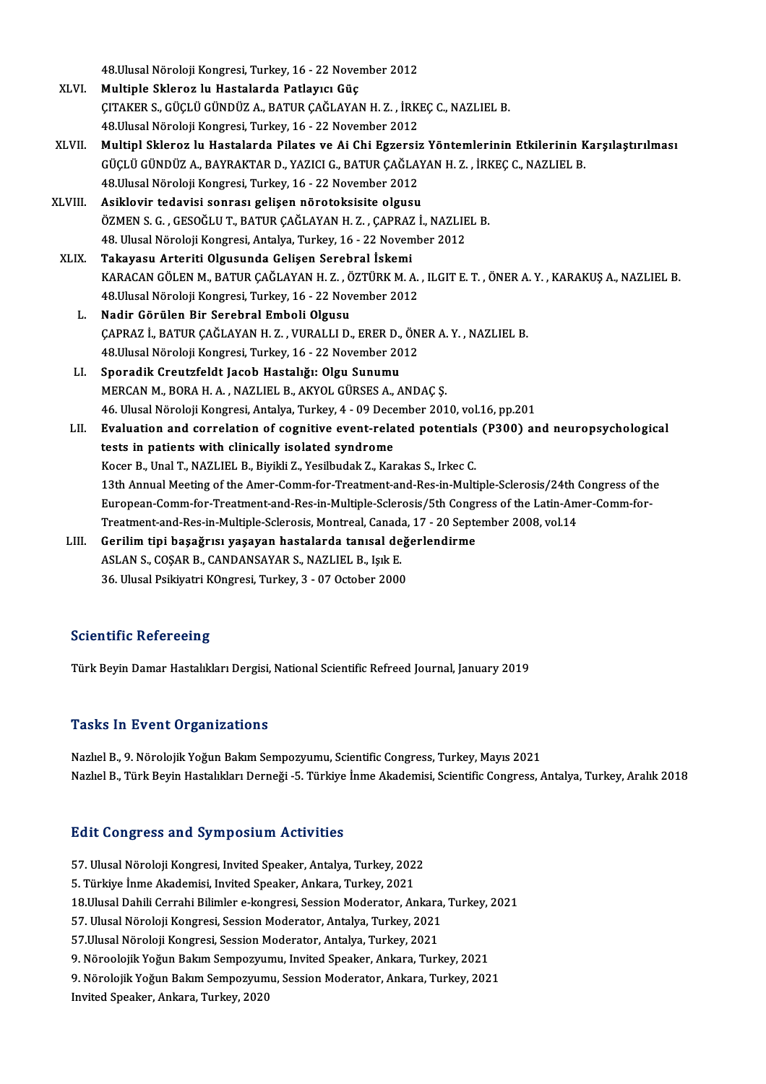48. Ulusal Nöroloji Kongresi, Turkey, 16 - 22 November 2012

- XLVI. Multiple Skleroz lu Hastalarda Patlayıcı Güç 48.Ulusal Nöroloji Kongresi, Turkey, 16 - 22 November 2012<br>Multiple Skleroz lu Hastalarda Patlayıcı Güç<br>ÇITAKER S., GÜÇLÜ GÜNDÜZ A., BATUR ÇAĞLAYAN H. Z. , İRKEÇ C., NAZLIEL B.<br>48 Ulusal Nöroloji Kongresi Turkey, 16 - 22 N Multiple Skleroz lu Hastalarda Patlayıcı Güç<br>ÇITAKER S., GÜÇLÜ GÜNDÜZ A., BATUR ÇAĞLAYAN H. Z. , İRKI<br>48.Ulusal Nöroloji Kongresi, Turkey, 16 - 22 November 2012<br>Multipl Sklenog bu Hastalarda Bilates ve Ai Chi Eggensi:
- XLVI . Multipl Skleroz lu Hastalarda Pilates ve Ai Chi Egzersiz Yöntemlerinin Etkilerinin Karşılaştırılması 48.Ulusal Nöroloji Kongresi, Turkey, 16 - 22 November 2012<br>Multipl Skleroz lu Hastalarda Pilates ve Ai Chi Egzersiz Yöntemlerinin Etkilerinin K<br>GÜÇLÜ GÜNDÜZ A., BAYRAKTAR D., YAZICI G., BATUR ÇAĞLAYAN H. Z. , İRKEÇ C., NAZ Multipl Skleroz lu Hastalarda Pilates ve Ai Chi Egzersiz<br>GÜÇLÜ GÜNDÜZ A., BAYRAKTAR D., YAZICI G., BATUR ÇAĞLA'<br>48.Ulusal Nöroloji Kongresi, Turkey, 16 - 22 November 2012<br>Asiklovir todavisi sonrası gelişen nörotoksisite ol GÜÇLÜ GÜNDÜZ A., BAYRAKTAR D., YAZICI G., BATUR ÇAĞLAY<br>48.Ulusal Nöroloji Kongresi, Turkey, 16 - 22 November 2012<br>XLVIII. Asiklovir tedavisi sonrası gelişen nörotoksisite olgusu<br>ÖZMEN S.C., CESOĞLUT, BATUR CAĞLAYAN H.Z., C
- 48.Ulusal Nöroloji Kongresi, Turkey, 16 22 November 2012<br>Asiklovir tedavisi sonrası gelişen nörotoksisite olgusu<br>ÖZMEN S. G. , GESOĞLU T., BATUR CAĞLAYAN H. Z. , CAPRAZ İ., NAZLIEL B. Asiklovir tedavisi sonrası gelişen nörotoksisite olgusu<br>ÖZMEN S. G., GESOĞLU T., BATUR ÇAĞLAYAN H. Z., ÇAPRAZ İ., NAZLIE<br>48. Ulusal Nöroloji Kongresi, Antalya, Turkey, 16 - 22 November 2012<br>Takayaay, Artariti Olgusunda Cal ÖZMEN S. G. , GESOĞLU T., BATUR ÇAĞLAYAN H. Z. , ÇAPRAZ<br>48. Ulusal Nöroloji Kongresi, Antalya, Turkey, 16 - 22 Novem<br>XLIX. Takayasu Arteriti Olgusunda Gelişen Serebral İskemi<br>XARAÇAN ÇÖLEN M. BATUR ÇAĞLAYAN H. Z. ÖZTÜR
- 48. Ulusal Nöroloji Kongresi, Antalya, Turkey, 16 22 November 2012<br><mark>Takayasu Arteriti Olgusunda Gelişen Serebral İskemi</mark><br>KARACAN GÖLEN M., BATUR ÇAĞLAYAN H. Z. , ÖZTÜRK M. A. , ILGIT E. T. , ÖNER A. Y. , KARAKUŞ A., NAZL Takayasu Arteriti Olgusunda Gelişen Serebral İskemi<br>KARACAN GÖLEN M., BATUR ÇAĞLAYAN H. Z. , ÖZTÜRK M. A.<br>48.Ulusal Nöroloji Kongresi, Turkey, 16 - 22 November 2012<br>Nadir Görülen Bir Serebral Embeli Olgusu 48. Ulusal Nöroloji Kongresi, Turkey, 16 - 22 November 2012<br>L. Nadir Görülen Bir Serebral Emboli Olgusu
	- 48.Ulusal Nöroloji Kongresi, Turkey, 16 22 November 2012<br>Nadir Görülen Bir Serebral Emboli Olgusu<br>ÇAPRAZ İ., BATUR ÇAĞLAYAN H. Z. , VURALLI D., ERER D., ÖNER A. Y. , NAZLIEL B.<br>48 Ulusal Nöroloji Kongresi Turkey, 16 22 Nadir Görülen Bir Serebral Emboli Olgusu<br>ÇAPRAZ İ., BATUR ÇAĞLAYAN H. Z. , VURALLI D., ERER D., ÖN<br>48.Ulusal Nöroloji Kongresi, Turkey, 16 - 22 November 2012<br>Spenadik Creutrfeldt Jaseb Hestalığı: Olsu Sunumu CAPRAZ İ., BATUR ÇAĞLAYAN H. Z. , VURALLI D., ERER D.,<br>48.Ulusal Nöroloji Kongresi, Turkey, 16 - 22 November 20<br>LI. Sporadik Creutzfeldt Jacob Hastalığı: Olgu Sunumu<br>MERCAN M. BORA H. A., NAZLIEL B. AKYOL CÜRSES A.
	- 48.Ulusal Nöroloji Kongresi, Turkey, 16 22 November 2012<br>LI. Sporadik Creutzfeldt Jacob Hastalığı: Olgu Sunumu<br>MERCAN M., BORA H. A. , NAZLIEL B., AKYOL GÜRSES A., ANDAÇ S. Sporadik Creutzfeldt Jacob Hastalığı: Olgu Sunumu<br>MERCAN M., BORA H. A. , NAZLIEL B., AKYOL GÜRSES A., ANDAÇ Ş.<br>46. Ulusal Nöroloji Kongresi, Antalya, Turkey, 4 - 09 December 2010, vol.16, pp.201<br>Evalustion and sonrelation
- MERCAN M., BORA H. A. , NAZLIEL B., AKYOL GÜRSES A., ANDAÇ Ş.<br>46. Ulusal Nöroloji Kongresi, Antalya, Turkey, 4 09 December 2010, vol.16, pp.201<br>LII. Evaluation and correlation of cognitive event-related potentials (P 46. Ulusal Nöroloji Kongresi, Antalya, Turkey, 4 - 09 Dece<br>Evaluation and correlation of cognitive event-rela<br>tests in patients with clinically isolated syndrome<br>Koser B. Unal T. NAZUEL B. Bivildi Z. Vosibudak Z. Kor Evaluation and correlation of cognitive event-related potentials<br>tests in patients with clinically isolated syndrome<br>Kocer B., Unal T., NAZLIEL B., Biyikli Z., Yesilbudak Z., Karakas S., Irkec C.<br>12th Annual Meeting of the tests in patients with clinically isolated syndrome<br>Kocer B., Unal T., NAZLIEL B., Biyikli Z., Yesilbudak Z., Karakas S., Irkec C.<br>13th Annual Meeting of the Amer-Comm-for-Treatment-and-Res-in-Multiple-Sclerosis/24th Congr Kocer B., Unal T., NAZLIEL B., Biyikli Z., Yesilbudak Z., Karakas S., Irkec C.<br>13th Annual Meeting of the Amer-Comm-for-Treatment-and-Res-in-Multiple-Sclerosis/24th Congress of th<br>European-Comm-for-Treatment-and-Res-in-Mul 13th Annual Meeting of the Amer-Comm-for-Treatment-and-Res-in-Multiple-Sclerosis/24th (<br>European-Comm-for-Treatment-and-Res-in-Multiple-Sclerosis/5th Congress of the Latin-Am<br>Treatment-and-Res-in-Multiple-Sclerosis, Montre European-Comm-for-Treatment-and-Res-in-Multiple-Sclerosis/5th Congress of the Latin-Amer-Comm-for-<br>Treatment-and-Res-in-Multiple-Sclerosis, Montreal, Canada, 17 - 20 September 2008, vol.14<br>LIII. Gerilim tipi başağrısı yaşa
- Treatment-and-Res-in-Multiple-Sclerosis, Montreal, Canada<br>Gerilim tipi başağrısı yaşayan hastalarda tanısal de<br>ASLAN S., COŞAR B., CANDANSAYAR S., NAZLIEL B., Işık E.<br>26 Hlucel Belkiyatri KOngresi Turkey, 2., 07 Ostober 20 Gerilim tipi başağrısı yaşayan hastalarda tanısal değ<br>ASLAN S., COŞAR B., CANDANSAYAR S., NAZLIEL B., Işık E.<br>36. Ulusal Psikiyatri KOngresi, Turkey, 3 - 07 October 2000 36. Ulusal Psikiyatri K0ngresi, Turkey, 3 - 07 October 2000<br>Scientific Refereeing

Türk Beyin Damar Hastalıkları Dergisi, National Scientific Refreed Journal, January 2019

### **Tasks In Event Organizations**

Nazlıel B., 9. Nörolojik Yoğun Bakım Sempozyumu, Scientific Congress, Turkey, Mayıs 2021 Nazlıel B., Türk Beyin Hastalıkları Derneği -5. Türkiye İnme Akademisi, Scientific Congress, Antalya, Turkey, Aralık 2018

### **Edit Congress and Symposium Activities**

Edit Congress and Symposium Activities<br>57. Ulusal Nöroloji Kongresi, Invited Speaker, Antalya, Turkey, 2022<br>5. Türkiye İnme Akademisi, Invited Speaker, Ankara, Turkey, 2021 5. Sare Gongress and by inpediatin recevered<br>5. Türkiye İnme Akademisi, Invited Speaker, Antalya, Turkey, 2021<br>5. Türkiye İnme Akademisi, Invited Speaker, Ankara, Turkey, 2021<br>18 Husal Dabili Carrabi Bilimlar a kanstasi Se 5. Türkiye İnme Akademisi, Invited Speaker, Ankara, Turkey, 2021<br>18.Ulusal Dahili Cerrahi Bilimler e-kongresi, Session Moderator, Ankara, Turkey, 2021 5. Türkiye İnme Akademisi, Invited Speaker, Ankara, Turkey, 2021<br>18.Ulusal Dahili Cerrahi Bilimler e-kongresi, Session Moderator, Ankara,<br>57. Ulusal Nöroloji Kongresi, Session Moderator, Antalya, Turkey, 2021<br>57.Ulusal Nör 18.Ulusal Dahili Cerrahi Bilimler e-kongresi, Session Moderator, Ankara<br>57. Ulusal Nöroloji Kongresi, Session Moderator, Antalya, Turkey, 2021<br>57.Ulusal Nöroloji Kongresi, Session Moderator, Antalya, Turkey, 2021<br>9. Närool 57.Ulusal Nöroloji Kongresi, Session Moderator, Antalya, Turkey, 2021<br>9. Nöroolojik Yoğun Bakım Sempozyumu, Invited Speaker, Ankara, Turkey, 2021 57.Ulusal Nöroloji Kongresi, Session Moderator, Antalya, Turkey, 2021<br>9. Nöroolojik Yoğun Bakım Sempozyumu, Invited Speaker, Ankara, Turkey, 2021<br>9. Nörolojik Yoğun Bakım Sempozyumu, Session Moderator, Ankara, Turkey, 2021 9. Nöroolojik Yoğun Bakım Sempozyuı<br>9. Nörolojik Yoğun Bakım Sempozyum<br>Invited Speaker, Ankara, Turkey, 2020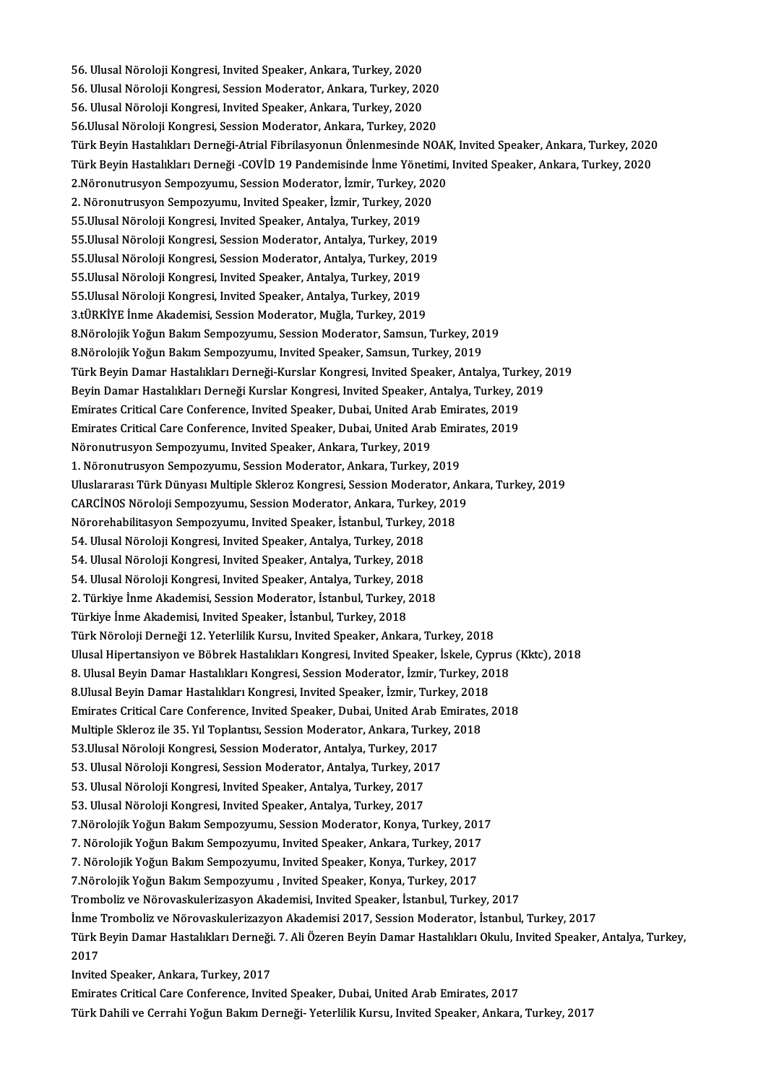56. Ulusal Nöroloji Kongresi, Invited Speaker, Ankara, Turkey, 2020<br>56. Ulusal Nöroloji Kongresi, Invited Speaker, Ankara, Turkey, 2020 56. Ulusal Nöroloji Kongresi, Invited Speaker, Ankara, Turkey, 2020<br>56. Ulusal Nöroloji Kongresi, Session Moderator, Ankara, Turkey, 2020<br>56. Ulusal Näroloji Kongresi, Invited Speaker, Ankara, Turkey, 2020 56. Ulusal Nöroloji Kongresi, Invited Speaker, Ankara, Turkey, 2020<br>56. Ulusal Nöroloji Kongresi, Session Moderator, Ankara, Turkey, 20<br>56. Ulusal Nöroloji Kongresi, Invited Speaker, Ankara, Turkey, 2020<br>56 Ulusal Nöroloji 56. Ulusal Nöroloji Kongresi, Session Moderator, Ankara, Turkey, 2020<br>56. Ulusal Nöroloji Kongresi, Invited Speaker, Ankara, Turkey, 2020<br>56.Ulusal Nöroloji Kongresi, Session Moderator, Ankara, Turkey, 2020 56. Ulusal Nöroloji Kongresi, Invited Speaker, Ankara, Turkey, 2020<br>56.Ulusal Nöroloji Kongresi, Session Moderator, Ankara, Turkey, 2020<br>Türk Beyin Hastalıkları Derneği-Atrial Fibrilasyonun Önlenmesinde NOAK, Invited Speak 56.Ulusal Nöroloji Kongresi, Session Moderator, Ankara, Turkey, 2020<br>Türk Beyin Hastalıkları Derneği-Atrial Fibrilasyonun Önlenmesinde NOAK, Invited Speaker, Ankara, Turkey, 2020<br>Türk Beyin Hastalıkları Derneği -COVİD 19 P Türk Beyin Hastalıkları Derneği-Atrial Fibrilasyonun Önlenmesinde NOAK<br>Türk Beyin Hastalıkları Derneği -COVİD 19 Pandemisinde İnme Yönetimi,<br>2.Nöronutrusyon Sempozyumu, Session Moderator, İzmir, Turkey, 2020<br>2. Nöronutrusy Türk Beyin Hastalıkları Derneği -COVİD 19 Pandemisinde İnme Yöneti<br>2.Nöronutrusyon Sempozyumu, Session Moderator, İzmir, Turkey, 202<br>2. Nöronutrusyon Sempozyumu, Invited Speaker, İzmir, Turkey, 2020<br>55 Ulusel Nöroleji Kong 2.Nöronutrusyon Sempozyumu, Session Moderator, İzmir, Turkey, 2<br>2. Nöronutrusyon Sempozyumu, Invited Speaker, İzmir, Turkey, 202<br>55.Ulusal Nöroloji Kongresi, Invited Speaker, Antalya, Turkey, 2019<br>55.Ulusal Nöroloji Kongre 2. Nöronutrusyon Sempozyumu, Invited Speaker, İzmir, Turkey, 2020<br>55.Ulusal Nöroloji Kongresi, Invited Speaker, Antalya, Turkey, 2019<br>55.Ulusal Nöroloji Kongresi, Session Moderator, Antalya, Turkey, 2019<br>55.Ulusal Nöroloji 55.Ulusal Nöroloji Kongresi, Invited Speaker, Antalya, Turkey, 2019<br>55.Ulusal Nöroloji Kongresi, Session Moderator, Antalya, Turkey, 2019<br>55.Ulusal Nöroloji Kongresi, Session Moderator, Antalya, Turkey, 2019<br>55 Ulusal Nöro 55.Ulusal Nöroloji Kongresi, Session Moderator, Antalya, Turkey, 20<br>55.Ulusal Nöroloji Kongresi, Session Moderator, Antalya, Turkey, 20<br>55.Ulusal Nöroloji Kongresi, Invited Speaker, Antalya, Turkey, 2019<br>55.Ulusal Nöroloji 55.Ulusal Nöroloji Kongresi, Session Moderator, Antalya, Turkey, 2019<br>55.Ulusal Nöroloji Kongresi, Invited Speaker, Antalya, Turkey, 2019<br>55.Ulusal Nöroloji Kongresi, Invited Speaker, Antalya, Turkey, 2019 3.tÜRKİYE İnme Akademisi, Session Moderator, Muğla, Turkey, 2019 55.Ulusal Nöroloji Kongresi, Invited Speaker, Antalya, Turkey, 2019<br>3.tÜRKİYE İnme Akademisi, Session Moderator, Muğla, Turkey, 2019<br>8.Nörolojik Yoğun Bakım Sempozyumu, Session Moderator, Samsun, Turkey, 2019<br>9.Nörolojik Y 3.tÜRKİYE İnme Akademisi, Session Moderator, Muğla, Turkey, 2019<br>8.Nörolojik Yoğun Bakım Sempozyumu, Session Moderator, Samsun, Turkey, 20<br>8.Nörolojik Yoğun Bakım Sempozyumu, Invited Speaker, Samsun, Turkey, 2019<br>Türk Boyi 8.Nörolojik Yoğun Bakım Sempozyumu, Session Moderator, Samsun, Turkey, 2019<br>8.Nörolojik Yoğun Bakım Sempozyumu, Invited Speaker, Samsun, Turkey, 2019<br>Türk Beyin Damar Hastalıkları Derneği-Kurslar Kongresi, Invited Speaker, 8.Nörolojik Yoğun Bakım Sempozyumu, Invited Speaker, Samsun, Turkey, 2019<br>Türk Beyin Damar Hastalıkları Derneği-Kurslar Kongresi, Invited Speaker, Antalya, Turkey, 2<br>Beyin Damar Hastalıkları Derneği Kurslar Kongresi, Invit Türk Beyin Damar Hastalıkları Derneği-Kurslar Kongresi, Invited Speaker, Antalya, Turi<br>Beyin Damar Hastalıkları Derneği Kurslar Kongresi, Invited Speaker, Antalya, Turkey, 2<br>Emirates Critical Care Conference, Invited Speak Beyin Damar Hastalıkları Derneği Kurslar Kongresi, Invited Speaker, Antalya, Turkey, 2<br>Emirates Critical Care Conference, Invited Speaker, Dubai, United Arab Emirates, 2019<br>Emirates Critical Care Conference, Invited Speake Emirates Critical Care Conference, Invited Speaker, Dubai, United Arab<br>Emirates Critical Care Conference, Invited Speaker, Dubai, United Arab<br>Nöronutrusyon Sempozyumu, Invited Speaker, Ankara, Turkey, 2019<br>1. Nöronutrusyon Emirates Critical Care Conference, Invited Speaker, Dubai, United Arab Emirates, 2019<br>Nöronutrusyon Sempozyumu, Invited Speaker, Ankara, Turkey, 2019<br>1. Nöronutrusyon Sempozyumu, Session Moderator, Ankara, Turkey, 2019 Nöronutrusyon Sempozyumu, Invited Speaker, Ankara, Turkey, 2019<br>1. Nöronutrusyon Sempozyumu, Session Moderator, Ankara, Turkey, 2019<br>Uluslararası Türk Dünyası Multiple Skleroz Kongresi, Session Moderator, Ankara, Turkey, 2 1. Nöronutrusyon Sempozyumu, Session Moderator, Ankara, Turkey, 2019<br>Uluslararası Türk Dünyası Multiple Skleroz Kongresi, Session Moderator, Ank<br>CARCİNOS Nöroloji Sempozyumu, Session Moderator, Ankara, Turkey, 2019<br>Nöroreb Uluslararası Türk Dünyası Multiple Skleroz Kongresi, Session Moderator, A<br>CARCİNOS Nöroloji Sempozyumu, Session Moderator, Ankara, Turkey, 201<br>Nörorehabilitasyon Sempozyumu, Invited Speaker, İstanbul, Turkey, 2018<br>54 Hluse CARCİNOS Nöroloji Sempozyumu, Session Moderator, Ankara, Turkey, 2019<br>Nörorehabilitasyon Sempozyumu, Invited Speaker, İstanbul, Turkey, 2018<br>54. Ulusal Nöroloji Kongresi, Invited Speaker, Antalya, Turkey, 2018<br>54. Ulusal N Nörorehabilitasyon Sempozyumu, Invited Speaker, İstanbul, Turkey, 2018<br>54. Ulusal Nöroloji Kongresi, Invited Speaker, Antalya, Turkey, 2018<br>54. Ulusal Nöroloji Kongresi, Invited Speaker, Antalya, Turkey, 2018<br>54. Ulusal Nö 54. Ulusal Nöroloji Kongresi, Invited Speaker, Antalya, Turkey, 2018 54. Ulusal Nöroloji Kongresi, Invited Speaker, Antalya, Turkey, 2018<br>54. Ulusal Nöroloji Kongresi, Invited Speaker, Antalya, Turkey, 2018<br>2. Türkiye İnme Akademisi, Session Moderator, İstanbul, Turkey, 2018<br>Türkiye İnme Ak 54. Ulusal Nöroloji Kongresi, Invited Speaker, Antalya, Turkey, 20<br>2. Türkiye İnme Akademisi, Session Moderator, İstanbul, Turkey, 2<br>Türkiye İnme Akademisi, Invited Speaker, İstanbul, Turkey, 2018<br>Türk Nöroloji Derneği 12. 2. Türkiye İnme Akademisi, Session Moderator, İstanbul, Turkey, 2018<br>Türkiye İnme Akademisi, Invited Speaker, İstanbul, Turkey, 2018<br>Türk Nöroloji Derneği 12. Yeterlilik Kursu, Invited Speaker, Ankara, Turkey, 2018<br>Ulusel Türkiye İnme Akademisi, Invited Speaker, İstanbul, Turkey, 2018<br>Türk Nöroloji Derneği 12. Yeterlilik Kursu, Invited Speaker, Ankara, Turkey, 2018<br>Ulusal Hipertansiyon ve Böbrek Hastalıkları Kongresi, Invited Speaker, İskel Türk Nöroloji Derneği 12. Yeterlilik Kursu, Invited Speaker, Ankara, Turkey, 2018<br>Ulusal Hipertansiyon ve Böbrek Hastalıkları Kongresi, Invited Speaker, İskele, Cyprus<br>8. Ulusal Beyin Damar Hastalıkları Kongresi, Session M Ulusal Hipertansiyon ve Böbrek Hastalıkları Kongresi, Invited Speaker, İskele, Cyp<br>8. Ulusal Beyin Damar Hastalıkları Kongresi, Session Moderator, İzmir, Turkey, 20<br>8.Ulusal Beyin Damar Hastalıkları Kongresi, Invited Speak 8. Ulusal Beyin Damar Hastalıkları Kongresi, Session Moderator, İzmir, Turkey, 2018<br>8.Ulusal Beyin Damar Hastalıkları Kongresi, Invited Speaker, İzmir, Turkey, 2018<br>Emirates Critical Care Conference, Invited Speaker, Dubai 8.Ulusal Beyin Damar Hastalıkları Kongresi, Invited Speaker, İzmir, Turkey, 2018<br>Emirates Critical Care Conference, Invited Speaker, Dubai, United Arab Emirates<br>Multiple Skleroz ile 35. Yıl Toplantısı, Session Moderator, A Emirates Critical Care Conference, Invited Speaker, Dubai, United Arab |<br>Multiple Skleroz ile 35. Yıl Toplantısı, Session Moderator, Ankara, Turke<br>53.Ulusal Nöroloji Kongresi, Session Moderator, Antalya, Turkey, 2017<br>53.Ul Multiple Skleroz ile 35. Yıl Toplantısı, Session Moderator, Ankara, Turkey<br>53.Ulusal Nöroloji Kongresi, Session Moderator, Antalya, Turkey, 2017<br>53. Ulusal Nöroloji Kongresi, Session Moderator, Antalya, Turkey, 2017<br>53. Ul 53.Ulusal Nöroloji Kongresi, Session Moderator, Antalya, Turkey, 201<br>53. Ulusal Nöroloji Kongresi, Session Moderator, Antalya, Turkey, 20<br>53. Ulusal Nöroloji Kongresi, Invited Speaker, Antalya, Turkey, 2017<br>53. Ulusal Nöro 53. Ulusal Nöroloji Kongresi, Session Moderator, Antalya, Turkey, 20<br>53. Ulusal Nöroloji Kongresi, Invited Speaker, Antalya, Turkey, 2017<br>53. Ulusal Nöroloji Kongresi, Invited Speaker, Antalya, Turkey, 2017<br>7 Nörolojik Yoğ 53. Ulusal Nöroloji Kongresi, Invited Speaker, Antalya, Turkey, 2017<br>53. Ulusal Nöroloji Kongresi, Invited Speaker, Antalya, Turkey, 2017<br>7.Nörolojik Yoğun Bakım Sempozyumu, Session Moderator, Konya, Turkey, 2017 53. Ulusal Nöroloji Kongresi, Invited Speaker, Antalya, Turkey, 2017<br>7.Nörolojik Yoğun Bakım Sempozyumu, Session Moderator, Konya, Turkey, 201<br>7. Nörolojik Yoğun Bakım Sempozyumu, Invited Speaker, Ankara, Turkey, 2017<br>7. N 7.Nörolojik Yoğun Bakım Sempozyumu, Session Moderator, Konya, Turkey, 201<br>7. Nörolojik Yoğun Bakım Sempozyumu, Invited Speaker, Ankara, Turkey, 2017<br>7. Nörolojik Yoğun Bakım Sempozyumu, Invited Speaker, Konya, Turkey, 2017 7. Nörolojik Yoğun Bakım Sempozyumu, Invited Speaker, Ankara, Turkey, 2017<br>7. Nörolojik Yoğun Bakım Sempozyumu, Invited Speaker, Konya, Turkey, 2017<br>7.Nörolojik Yoğun Bakım Sempozyumu , Invited Speaker, Konya, Turkey, 2017 7. Nörolojik Yoğun Bakım Sempozyumu, Invited Speaker, Konya, Turkey, 2017<br>7.Nörolojik Yoğun Bakım Sempozyumu , Invited Speaker, Konya, Turkey, 2017<br>Tromboliz ve Nörovaskulerizasvon Akademisi, Invited Speaker, İstanbul, Tur İnme Tromboliz ve Nörovaskulerizazyon Akademisi 2017, Session Moderator, İstanbul, Turkey, 2017 Tromboliz ve Nörovaskulerizasyon Akademisi, Invited Speaker, İstanbul, Turkey, 2017<br>İnme Tromboliz ve Nörovaskulerizazyon Akademisi 2017, Session Moderator, İstanbul, Turkey, 2017<br>Türk Beyin Damar Hastalıkları Derneği. 7. İnme<br>Türk I<br>2017<br>Invite Türk Beyin Damar Hastalıkları Derneği<br>2017<br>Invited Speaker, Ankara, Turkey, 2017<br>Eminates Cuitisel Cans Conference, Invit 2017<br>Invited Speaker, Ankara, Turkey, 2017<br>Emirates Critical Care Conference, Invited Speaker, Dubai, United Arab Emirates, 2017

Türk Dahili ve Cerrahi Yoğun Bakım Derneği-Yeterlilik Kursu, Invited Speaker, Ankara, Turkey, 2017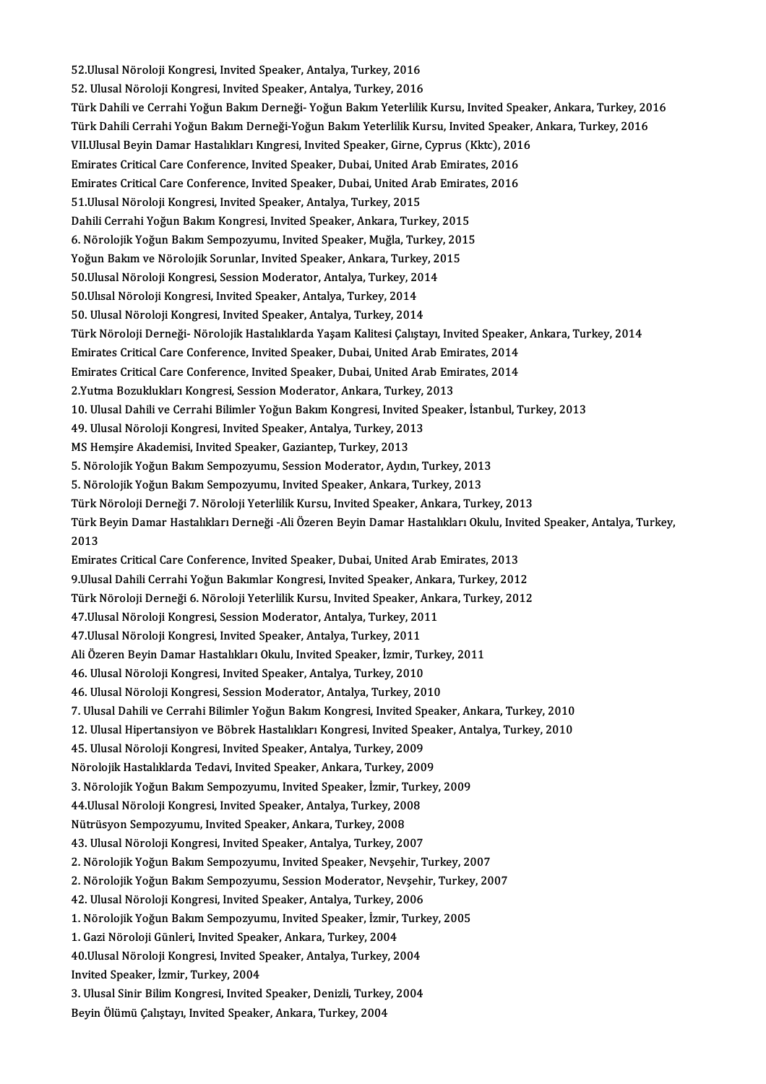52.Ulusal Nöroloji Kongresi, Invited Speaker, Antalya, Turkey, 2016<br>E2.Ulusal Nöroloji Kongresi, Invited Speaker, Antalya, Turkey, 2016 52.Ulusal Nöroloji Kongresi, Invited Speaker, Antalya, Turkey, 2016<br>52. Ulusal Nöroloji Kongresi, Invited Speaker, Antalya, Turkey, 2016<br>Türk Dabili ve Cennabi Yeğun Balum Derneği, Yeğun Balum Yeterlilik 52.Ulusal Nöroloji Kongresi, Invited Speaker, Antalya, Turkey, 2016<br>52. Ulusal Nöroloji Kongresi, Invited Speaker, Antalya, Turkey, 2016<br>Türk Dahili ve Cerrahi Yoğun Bakım Derneği- Yoğun Bakım Yeterlilik Kursu, Invited Spe 52. Ulusal Nöroloji Kongresi, Invited Speaker, Antalya, Turkey, 2016<br>Türk Dahili ve Cerrahi Yoğun Bakım Derneği- Yoğun Bakım Yeterlilik Kursu, Invited Speaker, Ankara, Turkey, 20<br>Türk Dahili Cerrahi Yoğun Bakım Derneği-Yoğ Türk Dahili ve Cerrahi Yoğun Bakım Derneği- Yoğun Bakım Yeterlilik Kursu, Invited Speal<br>Türk Dahili Cerrahi Yoğun Bakım Derneği-Yoğun Bakım Yeterlilik Kursu, Invited Speaker,<br>VII.Ulusal Beyin Damar Hastalıkları Kıngresi, I Türk Dahili Cerrahi Yoğun Bakım Derneği-Yoğun Bakım Yeterlilik Kursu, Invited Speaker, Ankara, Turkey, 2016<br>VII.Ulusal Beyin Damar Hastalıkları Kıngresi, Invited Speaker, Girne, Cyprus (Kktc), 2016<br>Emirates Critical Care C VII.Ulusal Beyin Damar Hastalıkları Kıngresi, Invited Speaker, Girne, Cyprus (Kktc), 2016<br>Emirates Critical Care Conference, Invited Speaker, Dubai, United Arab Emirates, 2016<br>Emirates Critical Care Conference, Invited Spe Emirates Critical Care Conference, Invited Speaker, Dubai, United Ar<br>Emirates Critical Care Conference, Invited Speaker, Dubai, United Ar<br>51.Ulusal Nöroloji Kongresi, Invited Speaker, Antalya, Turkey, 2015<br>Dabili Cerrabi Y Emirates Critical Care Conference, Invited Speaker, Dubai, United Arab Emirat<br>51.Ulusal Nöroloji Kongresi, Invited Speaker, Antalya, Turkey, 2015<br>Dahili Cerrahi Yoğun Bakım Kongresi, Invited Speaker, Ankara, Turkey, 2015<br>6 51.Ulusal Nöroloji Kongresi, Invited Speaker, Antalya, Turkey, 2015<br>Dahili Cerrahi Yoğun Bakım Kongresi, Invited Speaker, Ankara, Turkey, 2015<br>6. Nörolojik Yoğun Bakım Sempozyumu, Invited Speaker, Muğla, Turkey, 2015<br>Yoğun Dahili Cerrahi Yoğun Bakım Kongresi, Invited Speaker, Ankara, Turkey, 201!<br>6. Nörolojik Yoğun Bakım Sempozyumu, Invited Speaker, Muğla, Turkey, 201<br>Yoğun Bakım ve Nörolojik Sorunlar, Invited Speaker, Ankara, Turkey, 2015<br>5 6. Nörolojik Yoğun Bakım Sempozyumu, Invited Speaker, Muğla, Turkey<br>Yoğun Bakım ve Nörolojik Sorunlar, Invited Speaker, Ankara, Turkey, 20<br>50.Ulusal Nöroloji Kongresi, Session Moderator, Antalya, Turkey, 2014<br>50.Ulusal Nör Yoğun Bakım ve Nörolojik Sorunlar, Invited Speaker, Ankara, Turkey, 2015<br>50.Ulusal Nöroloji Kongresi, Session Moderator, Antalya, Turkey, 2014<br>50.Ulısal Nöroloji Kongresi, Invited Speaker, Antalya, Turkey, 2014 50. Ulusal Nöroloji Kongresi, Invited Speaker, Antalya, Turkey, 2014 50.Ulısal Nöroloji Kongresi, Invited Speaker, Antalya, Turkey, 2014<br>50. Ulusal Nöroloji Kongresi, Invited Speaker, Antalya, Turkey, 2014<br>Türk Nöroloji Derneği- Nörolojik Hastalıklarda Yaşam Kalitesi Çalıştayı, Invited Spea 50. Ulusal Nöroloji Kongresi, Invited Speaker, Antalya, Turkey, 2014<br>Türk Nöroloji Derneği- Nörolojik Hastalıklarda Yaşam Kalitesi Çalıştayı, Invited Speaker<br>Emirates Critical Care Conference, Invited Speaker, Dubai, Unite Türk Nöroloji Derneği- Nörolojik Hastalıklarda Yaşam Kalitesi Çalıştayı, Invited Speaker<br>Emirates Critical Care Conference, Invited Speaker, Dubai, United Arab Emirates, 2014<br>Emirates Critical Care Conference, Invited Spea Emirates Critical Care Conference, Invited Speaker, Dubai, United Arab Emirates, 2014<br>Emirates Critical Care Conference, Invited Speaker, Dubai, United Arab Emirates, 2014<br>2.Yutma Bozuklukları Kongresi, Session Moderator, 10.UlusalDahiliveCerrahiBilimler YoğunBakımKongresi, Invited Speaker, İstanbul,Turkey,2013 2.Yutma Bozuklukları Kongresi, Session Moderator, Ankara, Turkey, 10. Ulusal Dahili ve Cerrahi Bilimler Yoğun Bakım Kongresi, Invited S<br>49. Ulusal Nöroloji Kongresi, Invited Speaker, Antalya, Turkey, 2013<br>MS Hemaire Altede 10. Ulusal Dahili ve Cerrahi Bilimler Yoğun Bakım Kongresi, Invite<br>49. Ulusal Nöroloji Kongresi, Invited Speaker, Antalya, Turkey, 2013<br>MS Hemşire Akademisi, Invited Speaker, Gaziantep, Turkey, 2013<br>5. Nörolojik Yoğun Bakı 5. Nörolojik Yoğun Bakım Sempozyumu, Session Moderator, Aydın, Turkey, 2013<br>5. Nörolojik Yoğun Bakım Sempozyumu, Session Moderator, Aydın, Turkey, 2013 5. Nörolojik Yoğun Bakım Sempozyumu, Invited Speaker, Ankara, Turkey, 2013 5. Nörolojik Yoğun Bakım Sempozyumu, Session Moderator, Aydın, Turkey, 2013<br>5. Nörolojik Yoğun Bakım Sempozyumu, Invited Speaker, Ankara, Turkey, 2013<br>Türk Nöroloji Derneği 7. Nöroloji Yeterlilik Kursu, Invited Speaker, An 5. Nörolojik Yoğun Bakım Sempozyumu, Invited Speaker, Ankara, Turkey, 2013<br>Türk Nöroloji Derneği 7. Nöroloji Yeterlilik Kursu, Invited Speaker, Ankara, Turkey, 2013<br>Türk Beyin Damar Hastalıkları Derneği -Ali Özeren Beyin D Türk I<br>Türk I<br>2013<br><sup>Emira</sup> Türk Beyin Damar Hastalıkları Derneği -Ali Özeren Beyin Damar Hastalıkları Okulu, Inv.<br>2013<br>Emirates Critical Care Conference, Invited Speaker, Dubai, United Arab Emirates, 2013<br>9 Ulusal Dabili Cerrabi Yoğun Balamlar Kongr 2013<br>19. Emirates Critical Care Conference, Invited Speaker, Dubai, United Arab Emirates, 2013<br>19. Ulusal Dahili Cerrahi Yoğun Bakımlar Kongresi, Invited Speaker, Ankara, Turkey, 2012 Emirates Critical Care Conference, Invited Speaker, Dubai, United Arab Emirates, 2013<br>9.Ulusal Dahili Cerrahi Yoğun Bakımlar Kongresi, Invited Speaker, Ankara, Turkey, 2012<br>Türk Nöroloji Derneği 6. Nöroloji Yeterlilik Kurs 9.Ulusal Dahili Cerrahi Yoğun Bakımlar Kongresi, Invited Speaker, Anka<br>Türk Nöroloji Derneği 6. Nöroloji Yeterlilik Kursu, Invited Speaker, Ank<br>47.Ulusal Nöroloji Kongresi, Session Moderator, Antalya, Turkey, 2011<br>47.Ulusa Türk Nöroloji Derneği 6. Nöroloji Yeterlilik Kursu, Invited Speaker, *A*<br>47.Ulusal Nöroloji Kongresi, Session Moderator, Antalya, Turkey, 20<br>47.Ulusal Nöroloji Kongresi, Invited Speaker, Antalya, Turkey, 2011<br>Ali Özeren Be 47.Ulusal Nöroloji Kongresi, Session Moderator, Antalya, Turkey, 2011<br>47.Ulusal Nöroloji Kongresi, Invited Speaker, Antalya, Turkey, 2011<br>Ali Özeren Beyin Damar Hastalıkları Okulu, Invited Speaker, İzmir, Turkey, 2011<br>46. 47.Ulusal Nöroloji Kongresi, Invited Speaker, Antalya, Turkey, 2011<br>Ali Özeren Beyin Damar Hastalıkları Okulu, Invited Speaker, İzmir, Tu<br>46. Ulusal Nöroloji Kongresi, Invited Speaker, Antalya, Turkey, 2010<br>46. Ulusal Nöro Ali Özeren Beyin Damar Hastalıkları Okulu, Invited Speaker, İzmir, Turke<br>46. Ulusal Nöroloji Kongresi, Invited Speaker, Antalya, Turkey, 2010<br>46. Ulusal Nöroloji Kongresi, Session Moderator, Antalya, Turkey, 2010<br>7. Ulusal 46. Ulusal Nöroloji Kongresi, Invited Speaker, Antalya, Turkey, 2010<br>46. Ulusal Nöroloji Kongresi, Session Moderator, Antalya, Turkey, 2010<br>7. Ulusal Dahili ve Cerrahi Bilimler Yoğun Bakım Kongresi, Invited Speaker, Ankara 46. Ulusal Nöroloji Kongresi, Session Moderator, Antalya, Turkey, 2010<br>7. Ulusal Dahili ve Cerrahi Bilimler Yoğun Bakım Kongresi, Invited Speaker, Ankara, Turkey, 2010<br>12. Ulusal Hipertansiyon ve Böbrek Hastalıkları Kongre 7. Ulusal Dahili ve Cerrahi Bilimler Yoğun Bakım Kongresi, Invited Sp<br>12. Ulusal Hipertansiyon ve Böbrek Hastalıkları Kongresi, Invited Spe<br>45. Ulusal Nöroloji Kongresi, Invited Speaker, Antalya, Turkey, 2009<br>Nörolojik Has 12. Ulusal Hipertansiyon ve Böbrek Hastalıkları Kongresi, Invited Speal<br>45. Ulusal Nöroloji Kongresi, Invited Speaker, Antalya, Turkey, 2009<br>Nörolojik Hastalıklarda Tedavi, Invited Speaker, Ankara, Turkey, 2009<br>2. Nöroloji 45. Ulusal Nöroloji Kongresi, Invited Speaker, Antalya, Turkey, 2009<br>Nörolojik Hastalıklarda Tedavi, Invited Speaker, Ankara, Turkey, 2009<br>3. Nörolojik Yoğun Bakım Sempozyumu, Invited Speaker, İzmir, Turkey, 2009<br>44.Ulusal Nörolojik Hastalıklarda Tedavi, Invited Speaker, Ankara, Turkey, 200<br>3. Nörolojik Yoğun Bakım Sempozyumu, Invited Speaker, İzmir, Turk<br>44.Ulusal Nöroloji Kongresi, Invited Speaker, Antalya, Turkey, 2008<br>Nütrüsyon Sempozyum 3. Nörolojik Yoğun Bakım Sempozyumu, Invited Speaker, İzmir, T<br>44.Ulusal Nöroloji Kongresi, Invited Speaker, Antalya, Turkey, 2008<br>Nütrüsyon Sempozyumu, Invited Speaker, Ankara, Turkey, 2008<br>42. Ulusal Nöroloji Kongresi, I 44.Ulusal Nöroloji Kongresi, Invited Speaker, Antalya, Turkey, 2008<br>Nütrüsyon Sempozyumu, Invited Speaker, Ankara, Turkey, 2008<br>43. Ulusal Nöroloji Kongresi, Invited Speaker, Antalya, Turkey, 2007<br>2. Närolojik Yoğun Balam 43. Ulusal Nöroloji Kongresi, Invited Speaker, Antalya, Turkey, 2007<br>2. Nörolojik Yoğun Bakım Sempozyumu, Invited Speaker, Nevşehir, Turkey, 2007 43. Ulusal Nöroloji Kongresi, Invited Speaker, Antalya, Turkey, 2007<br>2. Nörolojik Yoğun Bakım Sempozyumu, Invited Speaker, Nevşehir, Turkey, 2007<br>2. Nörolojik Yoğun Bakım Sempozyumu, Session Moderator, Nevşehir, Turkey, 20 2. Nörolojik Yoğun Bakım Sempozyumu, Invited Speaker, Nevşehir, T<br>2. Nörolojik Yoğun Bakım Sempozyumu, Session Moderator, Nevşehi<br>42. Ulusal Nöroloji Kongresi, Invited Speaker, Antalya, Turkey, 2006<br>1. Nörolojik Yoğun Bakı 2. Nörolojik Yoğun Bakım Sempozyumu, Session Moderator, Nevşehir, Turkey<br>42. Ulusal Nöroloji Kongresi, Invited Speaker, Antalya, Turkey, 2006<br>1. Nörolojik Yoğun Bakım Sempozyumu, Invited Speaker, İzmir, Turkey, 2005<br>1. Cer 42. Ulusal Nöroloji Kongresi, Invited Speaker, Antalya, Turkey, 2<br>1. Nörolojik Yoğun Bakım Sempozyumu, Invited Speaker, İzmir,<br>1. Gazi Nöroloji Günleri, Invited Speaker, Ankara, Turkey, 2004<br>40 Ulusal Nöroloji Kongresi, In 1. Nörolojik Yoğun Bakım Sempozyumu, Invited Speaker, İzmir, Turk<br>1. Gazi Nöroloji Günleri, Invited Speaker, Ankara, Turkey, 2004<br>40.Ulusal Nöroloji Kongresi, Invited Speaker, Antalya, Turkey, 2004<br>Invited Speaker, İsmir, 1. Gazi Nöroloji Günleri, Invited Speaker, Ankara, Turkey, 2004<br>40.Ulusal Nöroloji Kongresi, Invited Speaker, Antalya, Turkey, 2004<br>Invited Speaker, İzmir, Turkey, 2004 40.Ulusal Nöroloji Kongresi, Invited Speaker, Antalya, Turkey, 2004<br>Invited Speaker, İzmir, Turkey, 2004<br>3. Ulusal Sinir Bilim Kongresi, Invited Speaker, Denizli, Turkey, 2004<br>Bayin Ölümü Calutan, Invited Speaker, Ankara, Invited Speaker, İzmir, Turkey, 2004<br>3. Ulusal Sinir Bilim Kongresi, Invited Speaker, Denizli, Turkey<br>Beyin Ölümü Çalıştayı, Invited Speaker, Ankara, Turkey, 2004